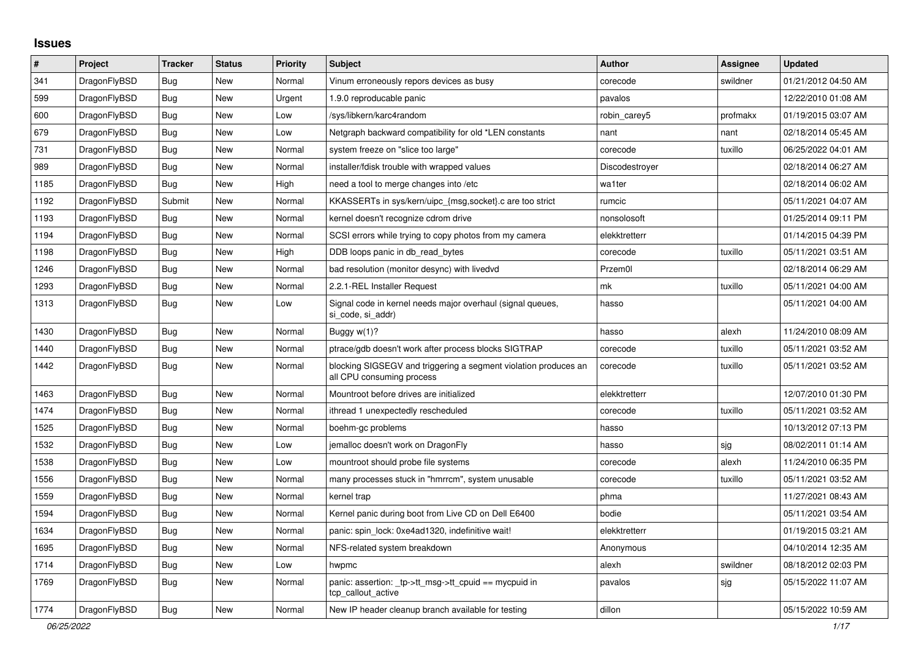## **Issues**

| #    | Project      | <b>Tracker</b> | <b>Status</b> | <b>Priority</b> | <b>Subject</b>                                                                               | <b>Author</b>  | Assignee | <b>Updated</b>      |
|------|--------------|----------------|---------------|-----------------|----------------------------------------------------------------------------------------------|----------------|----------|---------------------|
| 341  | DragonFlyBSD | Bug            | <b>New</b>    | Normal          | Vinum erroneously repors devices as busy                                                     | corecode       | swildner | 01/21/2012 04:50 AM |
| 599  | DragonFlyBSD | Bug            | <b>New</b>    | Urgent          | 1.9.0 reproducable panic                                                                     | pavalos        |          | 12/22/2010 01:08 AM |
| 600  | DragonFlyBSD | Bug            | <b>New</b>    | Low             | /sys/libkern/karc4random                                                                     | robin_carey5   | profmakx | 01/19/2015 03:07 AM |
| 679  | DragonFlyBSD | Bug            | New           | Low             | Netgraph backward compatibility for old *LEN constants                                       | nant           | nant     | 02/18/2014 05:45 AM |
| 731  | DragonFlyBSD | Bug            | New           | Normal          | system freeze on "slice too large"                                                           | corecode       | tuxillo  | 06/25/2022 04:01 AM |
| 989  | DragonFlyBSD | <b>Bug</b>     | <b>New</b>    | Normal          | installer/fdisk trouble with wrapped values                                                  | Discodestroyer |          | 02/18/2014 06:27 AM |
| 1185 | DragonFlyBSD | <b>Bug</b>     | <b>New</b>    | High            | need a tool to merge changes into /etc                                                       | wa1ter         |          | 02/18/2014 06:02 AM |
| 1192 | DragonFlyBSD | Submit         | <b>New</b>    | Normal          | KKASSERTs in sys/kern/uipc_{msg,socket}.c are too strict                                     | rumcic         |          | 05/11/2021 04:07 AM |
| 1193 | DragonFlyBSD | <b>Bug</b>     | <b>New</b>    | Normal          | kernel doesn't recognize cdrom drive                                                         | nonsolosoft    |          | 01/25/2014 09:11 PM |
| 1194 | DragonFlyBSD | <b>Bug</b>     | <b>New</b>    | Normal          | SCSI errors while trying to copy photos from my camera                                       | elekktretterr  |          | 01/14/2015 04:39 PM |
| 1198 | DragonFlyBSD | Bug            | New           | High            | DDB loops panic in db_read_bytes                                                             | corecode       | tuxillo  | 05/11/2021 03:51 AM |
| 1246 | DragonFlyBSD | Bug            | <b>New</b>    | Normal          | bad resolution (monitor desync) with livedvd                                                 | Przem0l        |          | 02/18/2014 06:29 AM |
| 1293 | DragonFlyBSD | <b>Bug</b>     | <b>New</b>    | Normal          | 2.2.1-REL Installer Request                                                                  | mk             | tuxillo  | 05/11/2021 04:00 AM |
| 1313 | DragonFlyBSD | Bug            | New           | Low             | Signal code in kernel needs major overhaul (signal queues,<br>si code, si addr)              | hasso          |          | 05/11/2021 04:00 AM |
| 1430 | DragonFlyBSD | <b>Bug</b>     | <b>New</b>    | Normal          | Buggy $w(1)$ ?                                                                               | hasso          | alexh    | 11/24/2010 08:09 AM |
| 1440 | DragonFlyBSD | <b>Bug</b>     | <b>New</b>    | Normal          | ptrace/gdb doesn't work after process blocks SIGTRAP                                         | corecode       | tuxillo  | 05/11/2021 03:52 AM |
| 1442 | DragonFlyBSD | <b>Bug</b>     | <b>New</b>    | Normal          | blocking SIGSEGV and triggering a segment violation produces an<br>all CPU consuming process | corecode       | tuxillo  | 05/11/2021 03:52 AM |
| 1463 | DragonFlyBSD | Bug            | <b>New</b>    | Normal          | Mountroot before drives are initialized                                                      | elekktretterr  |          | 12/07/2010 01:30 PM |
| 1474 | DragonFlyBSD | Bug            | <b>New</b>    | Normal          | ithread 1 unexpectedly rescheduled                                                           | corecode       | tuxillo  | 05/11/2021 03:52 AM |
| 1525 | DragonFlyBSD | <b>Bug</b>     | <b>New</b>    | Normal          | boehm-gc problems                                                                            | hasso          |          | 10/13/2012 07:13 PM |
| 1532 | DragonFlyBSD | <b>Bug</b>     | <b>New</b>    | Low             | jemalloc doesn't work on DragonFly                                                           | hasso          | sjg      | 08/02/2011 01:14 AM |
| 1538 | DragonFlyBSD | Bug            | <b>New</b>    | Low             | mountroot should probe file systems                                                          | corecode       | alexh    | 11/24/2010 06:35 PM |
| 1556 | DragonFlyBSD | <b>Bug</b>     | <b>New</b>    | Normal          | many processes stuck in "hmrrcm", system unusable                                            | corecode       | tuxillo  | 05/11/2021 03:52 AM |
| 1559 | DragonFlyBSD | Bug            | <b>New</b>    | Normal          | kernel trap                                                                                  | phma           |          | 11/27/2021 08:43 AM |
| 1594 | DragonFlyBSD | Bug            | <b>New</b>    | Normal          | Kernel panic during boot from Live CD on Dell E6400                                          | bodie          |          | 05/11/2021 03:54 AM |
| 1634 | DragonFlyBSD | <b>Bug</b>     | <b>New</b>    | Normal          | panic: spin lock: 0xe4ad1320, indefinitive wait!                                             | elekktretterr  |          | 01/19/2015 03:21 AM |
| 1695 | DragonFlyBSD | Bug            | <b>New</b>    | Normal          | NFS-related system breakdown                                                                 | Anonymous      |          | 04/10/2014 12:35 AM |
| 1714 | DragonFlyBSD | <b>Bug</b>     | <b>New</b>    | Low             | hwpmc                                                                                        | alexh          | swildner | 08/18/2012 02:03 PM |
| 1769 | DragonFlyBSD | <b>Bug</b>     | <b>New</b>    | Normal          | panic: assertion: tp->tt_msg->tt_cpuid == mycpuid in<br>tcp callout active                   | pavalos        | sjg      | 05/15/2022 11:07 AM |
| 1774 | DragonFlyBSD | Bug            | <b>New</b>    | Normal          | New IP header cleanup branch available for testing                                           | dillon         |          | 05/15/2022 10:59 AM |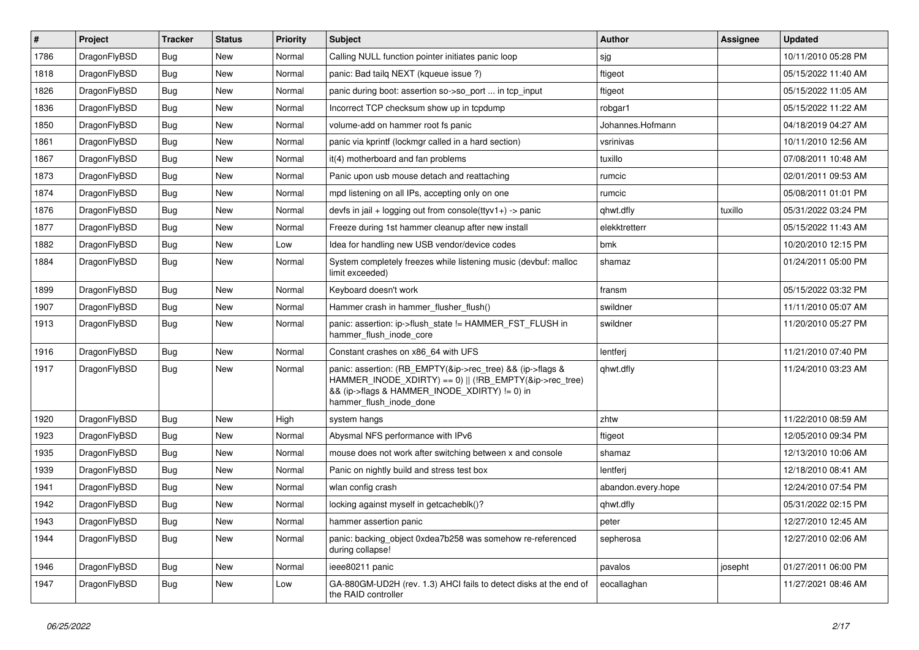| $\vert$ # | Project      | <b>Tracker</b> | <b>Status</b> | <b>Priority</b> | <b>Subject</b>                                                                                                                                                                                    | Author             | Assignee | <b>Updated</b>      |
|-----------|--------------|----------------|---------------|-----------------|---------------------------------------------------------------------------------------------------------------------------------------------------------------------------------------------------|--------------------|----------|---------------------|
| 1786      | DragonFlyBSD | Bug            | <b>New</b>    | Normal          | Calling NULL function pointer initiates panic loop                                                                                                                                                | sjg                |          | 10/11/2010 05:28 PM |
| 1818      | DragonFlyBSD | <b>Bug</b>     | <b>New</b>    | Normal          | panic: Bad tailg NEXT (kqueue issue ?)                                                                                                                                                            | ftigeot            |          | 05/15/2022 11:40 AM |
| 1826      | DragonFlyBSD | Bug            | <b>New</b>    | Normal          | panic during boot: assertion so->so_port  in tcp_input                                                                                                                                            | ftigeot            |          | 05/15/2022 11:05 AM |
| 1836      | DragonFlyBSD | Bug            | <b>New</b>    | Normal          | Incorrect TCP checksum show up in tcpdump                                                                                                                                                         | robgar1            |          | 05/15/2022 11:22 AM |
| 1850      | DragonFlyBSD | Bug            | <b>New</b>    | Normal          | volume-add on hammer root fs panic                                                                                                                                                                | Johannes.Hofmann   |          | 04/18/2019 04:27 AM |
| 1861      | DragonFlyBSD | <b>Bug</b>     | New           | Normal          | panic via kprintf (lockmgr called in a hard section)                                                                                                                                              | vsrinivas          |          | 10/11/2010 12:56 AM |
| 1867      | DragonFlyBSD | Bug            | <b>New</b>    | Normal          | it(4) motherboard and fan problems                                                                                                                                                                | tuxillo            |          | 07/08/2011 10:48 AM |
| 1873      | DragonFlyBSD | <b>Bug</b>     | <b>New</b>    | Normal          | Panic upon usb mouse detach and reattaching                                                                                                                                                       | rumcic             |          | 02/01/2011 09:53 AM |
| 1874      | DragonFlyBSD | Bug            | New           | Normal          | mpd listening on all IPs, accepting only on one                                                                                                                                                   | rumcic             |          | 05/08/2011 01:01 PM |
| 1876      | DragonFlyBSD | <b>Bug</b>     | <b>New</b>    | Normal          | devfs in jail + logging out from console(ttyv1+) -> panic                                                                                                                                         | qhwt.dfly          | tuxillo  | 05/31/2022 03:24 PM |
| 1877      | DragonFlyBSD | <b>Bug</b>     | New           | Normal          | Freeze during 1st hammer cleanup after new install                                                                                                                                                | elekktretterr      |          | 05/15/2022 11:43 AM |
| 1882      | DragonFlyBSD | Bug            | <b>New</b>    | Low             | Idea for handling new USB vendor/device codes                                                                                                                                                     | bmk                |          | 10/20/2010 12:15 PM |
| 1884      | DragonFlyBSD | Bug            | New           | Normal          | System completely freezes while listening music (devbuf: malloc<br>limit exceeded)                                                                                                                | shamaz             |          | 01/24/2011 05:00 PM |
| 1899      | DragonFlyBSD | <b>Bug</b>     | <b>New</b>    | Normal          | Keyboard doesn't work                                                                                                                                                                             | fransm             |          | 05/15/2022 03:32 PM |
| 1907      | DragonFlyBSD | <b>Bug</b>     | <b>New</b>    | Normal          | Hammer crash in hammer flusher flush()                                                                                                                                                            | swildner           |          | 11/11/2010 05:07 AM |
| 1913      | DragonFlyBSD | Bug            | New           | Normal          | panic: assertion: ip->flush state != HAMMER FST FLUSH in<br>hammer flush inode core                                                                                                               | swildner           |          | 11/20/2010 05:27 PM |
| 1916      | DragonFlyBSD | <b>Bug</b>     | <b>New</b>    | Normal          | Constant crashes on x86 64 with UFS                                                                                                                                                               | lentferj           |          | 11/21/2010 07:40 PM |
| 1917      | DragonFlyBSD | Bug            | New           | Normal          | panic: assertion: (RB_EMPTY(&ip->rec_tree) && (ip->flags &<br>HAMMER INODE_XDIRTY) == 0)    (!RB_EMPTY(&ip->rec_tree)<br>&& (ip->flags & HAMMER_INODE_XDIRTY) != 0) in<br>hammer_flush_inode_done | qhwt.dfly          |          | 11/24/2010 03:23 AM |
| 1920      | DragonFlyBSD | <b>Bug</b>     | <b>New</b>    | High            | system hangs                                                                                                                                                                                      | zhtw               |          | 11/22/2010 08:59 AM |
| 1923      | DragonFlyBSD | Bug            | <b>New</b>    | Normal          | Abysmal NFS performance with IPv6                                                                                                                                                                 | ftigeot            |          | 12/05/2010 09:34 PM |
| 1935      | DragonFlyBSD | Bug            | <b>New</b>    | Normal          | mouse does not work after switching between x and console                                                                                                                                         | shamaz             |          | 12/13/2010 10:06 AM |
| 1939      | DragonFlyBSD | Bug            | <b>New</b>    | Normal          | Panic on nightly build and stress test box                                                                                                                                                        | lentferj           |          | 12/18/2010 08:41 AM |
| 1941      | DragonFlyBSD | Bug            | <b>New</b>    | Normal          | wlan config crash                                                                                                                                                                                 | abandon.every.hope |          | 12/24/2010 07:54 PM |
| 1942      | DragonFlyBSD | <b>Bug</b>     | <b>New</b>    | Normal          | locking against myself in getcacheblk()?                                                                                                                                                          | qhwt.dfly          |          | 05/31/2022 02:15 PM |
| 1943      | DragonFlyBSD | <b>Bug</b>     | New           | Normal          | hammer assertion panic                                                                                                                                                                            | peter              |          | 12/27/2010 12:45 AM |
| 1944      | DragonFlyBSD | <b>Bug</b>     | New           | Normal          | panic: backing_object 0xdea7b258 was somehow re-referenced<br>during collapse!                                                                                                                    | sepherosa          |          | 12/27/2010 02:06 AM |
| 1946      | DragonFlyBSD | <b>Bug</b>     | New           | Normal          | ieee80211 panic                                                                                                                                                                                   | pavalos            | josepht  | 01/27/2011 06:00 PM |
| 1947      | DragonFlyBSD | Bug            | New           | Low             | GA-880GM-UD2H (rev. 1.3) AHCI fails to detect disks at the end of<br>the RAID controller                                                                                                          | eocallaghan        |          | 11/27/2021 08:46 AM |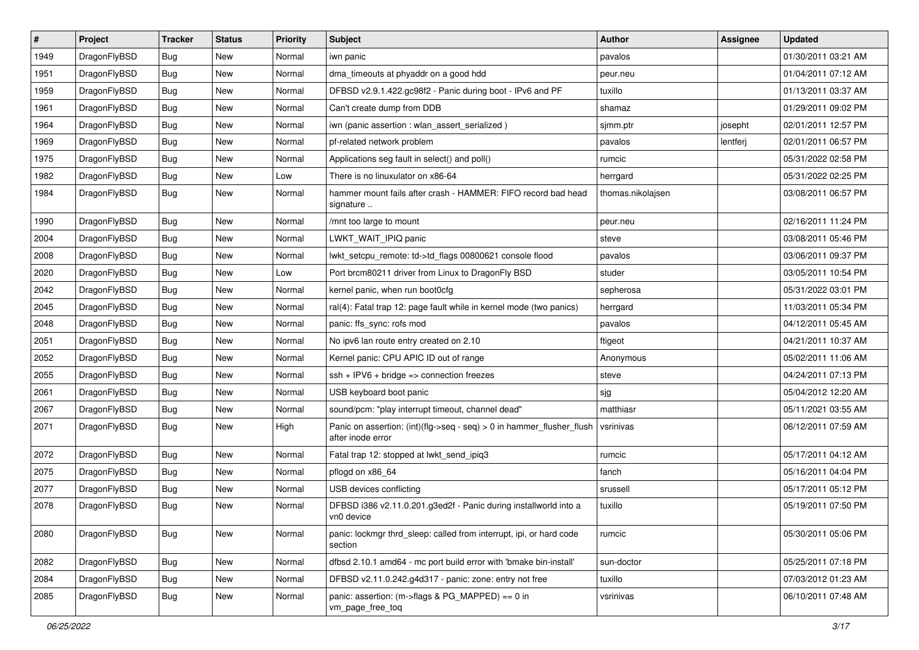| $\sharp$ | Project      | <b>Tracker</b> | <b>Status</b> | <b>Priority</b> | Subject                                                                                    | Author            | Assignee | <b>Updated</b>      |
|----------|--------------|----------------|---------------|-----------------|--------------------------------------------------------------------------------------------|-------------------|----------|---------------------|
| 1949     | DragonFlyBSD | <b>Bug</b>     | New           | Normal          | iwn panic                                                                                  | pavalos           |          | 01/30/2011 03:21 AM |
| 1951     | DragonFlyBSD | <b>Bug</b>     | <b>New</b>    | Normal          | dma_timeouts at phyaddr on a good hdd                                                      | peur.neu          |          | 01/04/2011 07:12 AM |
| 1959     | DragonFlyBSD | <b>Bug</b>     | New           | Normal          | DFBSD v2.9.1.422.gc98f2 - Panic during boot - IPv6 and PF                                  | tuxillo           |          | 01/13/2011 03:37 AM |
| 1961     | DragonFlyBSD | <b>Bug</b>     | <b>New</b>    | Normal          | Can't create dump from DDB                                                                 | shamaz            |          | 01/29/2011 09:02 PM |
| 1964     | DragonFlyBSD | <b>Bug</b>     | <b>New</b>    | Normal          | iwn (panic assertion : wlan assert serialized)                                             | sjmm.ptr          | josepht  | 02/01/2011 12:57 PM |
| 1969     | DragonFlyBSD | <b>Bug</b>     | <b>New</b>    | Normal          | pf-related network problem                                                                 | pavalos           | lentferj | 02/01/2011 06:57 PM |
| 1975     | DragonFlyBSD | <b>Bug</b>     | New           | Normal          | Applications seg fault in select() and poll()                                              | rumcic            |          | 05/31/2022 02:58 PM |
| 1982     | DragonFlyBSD | <b>Bug</b>     | <b>New</b>    | Low             | There is no linuxulator on x86-64                                                          | herrgard          |          | 05/31/2022 02:25 PM |
| 1984     | DragonFlyBSD | <b>Bug</b>     | New           | Normal          | hammer mount fails after crash - HAMMER: FIFO record bad head<br>signature                 | thomas.nikolajsen |          | 03/08/2011 06:57 PM |
| 1990     | DragonFlyBSD | <b>Bug</b>     | <b>New</b>    | Normal          | /mnt too large to mount                                                                    | peur.neu          |          | 02/16/2011 11:24 PM |
| 2004     | DragonFlyBSD | <b>Bug</b>     | New           | Normal          | LWKT WAIT IPIQ panic                                                                       | steve             |          | 03/08/2011 05:46 PM |
| 2008     | DragonFlyBSD | <b>Bug</b>     | <b>New</b>    | Normal          | lwkt_setcpu_remote: td->td_flags 00800621 console flood                                    | pavalos           |          | 03/06/2011 09:37 PM |
| 2020     | DragonFlyBSD | <b>Bug</b>     | <b>New</b>    | Low             | Port brcm80211 driver from Linux to DragonFly BSD                                          | studer            |          | 03/05/2011 10:54 PM |
| 2042     | DragonFlyBSD | <b>Bug</b>     | New           | Normal          | kernel panic, when run boot0cfg                                                            | sepherosa         |          | 05/31/2022 03:01 PM |
| 2045     | DragonFlyBSD | <b>Bug</b>     | <b>New</b>    | Normal          | ral(4): Fatal trap 12: page fault while in kernel mode (two panics)                        | herrgard          |          | 11/03/2011 05:34 PM |
| 2048     | DragonFlyBSD | <b>Bug</b>     | New           | Normal          | panic: ffs_sync: rofs mod                                                                  | pavalos           |          | 04/12/2011 05:45 AM |
| 2051     | DragonFlyBSD | <b>Bug</b>     | <b>New</b>    | Normal          | No ipv6 lan route entry created on 2.10                                                    | ftigeot           |          | 04/21/2011 10:37 AM |
| 2052     | DragonFlyBSD | <b>Bug</b>     | <b>New</b>    | Normal          | Kernel panic: CPU APIC ID out of range                                                     | Anonymous         |          | 05/02/2011 11:06 AM |
| 2055     | DragonFlyBSD | <b>Bug</b>     | <b>New</b>    | Normal          | $ssh + IPV6 + bridge \Rightarrow connection freezes$                                       | steve             |          | 04/24/2011 07:13 PM |
| 2061     | DragonFlyBSD | <b>Bug</b>     | New           | Normal          | USB keyboard boot panic                                                                    | sjg               |          | 05/04/2012 12:20 AM |
| 2067     | DragonFlyBSD | <b>Bug</b>     | New           | Normal          | sound/pcm: "play interrupt timeout, channel dead"                                          | matthiasr         |          | 05/11/2021 03:55 AM |
| 2071     | DragonFlyBSD | Bug            | New           | High            | Panic on assertion: (int)(flg->seq - seq) > 0 in hammer_flusher_flush<br>after inode error | vsrinivas         |          | 06/12/2011 07:59 AM |
| 2072     | DragonFlyBSD | Bug            | New           | Normal          | Fatal trap 12: stopped at lwkt_send_ipiq3                                                  | rumcic            |          | 05/17/2011 04:12 AM |
| 2075     | DragonFlyBSD | <b>Bug</b>     | New           | Normal          | pflogd on x86_64                                                                           | fanch             |          | 05/16/2011 04:04 PM |
| 2077     | DragonFlyBSD | <b>Bug</b>     | <b>New</b>    | Normal          | USB devices conflicting                                                                    | srussell          |          | 05/17/2011 05:12 PM |
| 2078     | DragonFlyBSD | Bug            | New           | Normal          | DFBSD i386 v2.11.0.201.g3ed2f - Panic during installworld into a<br>vn0 device             | tuxillo           |          | 05/19/2011 07:50 PM |
| 2080     | DragonFlyBSD | Bug            | New           | Normal          | panic: lockmgr thrd sleep: called from interrupt, ipi, or hard code<br>section             | rumcic            |          | 05/30/2011 05:06 PM |
| 2082     | DragonFlyBSD | Bug            | <b>New</b>    | Normal          | dfbsd 2.10.1 amd64 - mc port build error with 'bmake bin-install'                          | sun-doctor        |          | 05/25/2011 07:18 PM |
| 2084     | DragonFlyBSD | <b>Bug</b>     | New           | Normal          | DFBSD v2.11.0.242.g4d317 - panic: zone: entry not free                                     | tuxillo           |          | 07/03/2012 01:23 AM |
| 2085     | DragonFlyBSD | Bug            | New           | Normal          | panic: assertion: (m->flags & PG_MAPPED) == 0 in<br>vm_page_free_toq                       | vsrinivas         |          | 06/10/2011 07:48 AM |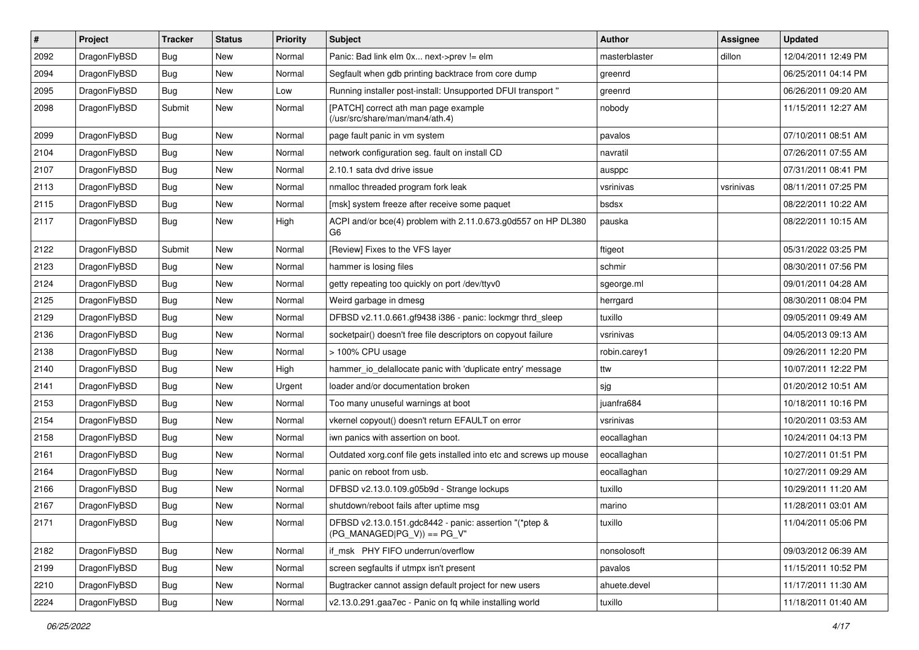| #    | Project      | <b>Tracker</b> | <b>Status</b> | <b>Priority</b> | Subject                                                                                 | Author        | <b>Assignee</b> | <b>Updated</b>      |
|------|--------------|----------------|---------------|-----------------|-----------------------------------------------------------------------------------------|---------------|-----------------|---------------------|
| 2092 | DragonFlyBSD | Bug            | <b>New</b>    | Normal          | Panic: Bad link elm 0x next->prev != elm                                                | masterblaster | dillon          | 12/04/2011 12:49 PM |
| 2094 | DragonFlyBSD | Bug            | <b>New</b>    | Normal          | Segfault when gdb printing backtrace from core dump                                     | greenrd       |                 | 06/25/2011 04:14 PM |
| 2095 | DragonFlyBSD | <b>Bug</b>     | New           | Low             | Running installer post-install: Unsupported DFUI transport "                            | greenrd       |                 | 06/26/2011 09:20 AM |
| 2098 | DragonFlyBSD | Submit         | New           | Normal          | [PATCH] correct ath man page example<br>(/usr/src/share/man/man4/ath.4)                 | nobody        |                 | 11/15/2011 12:27 AM |
| 2099 | DragonFlyBSD | <b>Bug</b>     | New           | Normal          | page fault panic in vm system                                                           | pavalos       |                 | 07/10/2011 08:51 AM |
| 2104 | DragonFlyBSD | Bug            | <b>New</b>    | Normal          | network configuration seg. fault on install CD                                          | navratil      |                 | 07/26/2011 07:55 AM |
| 2107 | DragonFlyBSD | <b>Bug</b>     | New           | Normal          | 2.10.1 sata dvd drive issue                                                             | ausppc        |                 | 07/31/2011 08:41 PM |
| 2113 | DragonFlyBSD | Bug            | <b>New</b>    | Normal          | nmalloc threaded program fork leak                                                      | vsrinivas     | vsrinivas       | 08/11/2011 07:25 PM |
| 2115 | DragonFlyBSD | Bug            | <b>New</b>    | Normal          | [msk] system freeze after receive some paquet                                           | bsdsx         |                 | 08/22/2011 10:22 AM |
| 2117 | DragonFlyBSD | <b>Bug</b>     | New           | High            | ACPI and/or bce(4) problem with 2.11.0.673.g0d557 on HP DL380<br>G6                     | pauska        |                 | 08/22/2011 10:15 AM |
| 2122 | DragonFlyBSD | Submit         | New           | Normal          | [Review] Fixes to the VFS layer                                                         | ftigeot       |                 | 05/31/2022 03:25 PM |
| 2123 | DragonFlyBSD | Bug            | New           | Normal          | hammer is losing files                                                                  | schmir        |                 | 08/30/2011 07:56 PM |
| 2124 | DragonFlyBSD | Bug            | <b>New</b>    | Normal          | getty repeating too quickly on port /dev/ttyv0                                          | sgeorge.ml    |                 | 09/01/2011 04:28 AM |
| 2125 | DragonFlyBSD | <b>Bug</b>     | New           | Normal          | Weird garbage in dmesg                                                                  | herrgard      |                 | 08/30/2011 08:04 PM |
| 2129 | DragonFlyBSD | Bug            | New           | Normal          | DFBSD v2.11.0.661.gf9438 i386 - panic: lockmgr thrd_sleep                               | tuxillo       |                 | 09/05/2011 09:49 AM |
| 2136 | DragonFlyBSD | Bug            | <b>New</b>    | Normal          | socketpair() doesn't free file descriptors on copyout failure                           | vsrinivas     |                 | 04/05/2013 09:13 AM |
| 2138 | DragonFlyBSD | <b>Bug</b>     | New           | Normal          | > 100% CPU usage                                                                        | robin.carey1  |                 | 09/26/2011 12:20 PM |
| 2140 | DragonFlyBSD | Bug            | <b>New</b>    | High            | hammer_io_delallocate panic with 'duplicate entry' message                              | ttw           |                 | 10/07/2011 12:22 PM |
| 2141 | DragonFlyBSD | <b>Bug</b>     | New           | Urgent          | loader and/or documentation broken                                                      | sjg           |                 | 01/20/2012 10:51 AM |
| 2153 | DragonFlyBSD | <b>Bug</b>     | New           | Normal          | Too many unuseful warnings at boot                                                      | juanfra684    |                 | 10/18/2011 10:16 PM |
| 2154 | DragonFlyBSD | <b>Bug</b>     | <b>New</b>    | Normal          | vkernel copyout() doesn't return EFAULT on error                                        | vsrinivas     |                 | 10/20/2011 03:53 AM |
| 2158 | DragonFlyBSD | <b>Bug</b>     | New           | Normal          | iwn panics with assertion on boot.                                                      | eocallaghan   |                 | 10/24/2011 04:13 PM |
| 2161 | DragonFlyBSD | Bug            | New           | Normal          | Outdated xorg.conf file gets installed into etc and screws up mouse                     | eocallaghan   |                 | 10/27/2011 01:51 PM |
| 2164 | DragonFlyBSD | Bug            | New           | Normal          | panic on reboot from usb.                                                               | eocallaghan   |                 | 10/27/2011 09:29 AM |
| 2166 | DragonFlyBSD | <b>Bug</b>     | <b>New</b>    | Normal          | DFBSD v2.13.0.109.g05b9d - Strange lockups                                              | tuxillo       |                 | 10/29/2011 11:20 AM |
| 2167 | DragonFlyBSD | <b>Bug</b>     | New           | Normal          | shutdown/reboot fails after uptime msg                                                  | marino        |                 | 11/28/2011 03:01 AM |
| 2171 | DragonFlyBSD | Bug            | New           | Normal          | DFBSD v2.13.0.151.gdc8442 - panic: assertion "(*ptep &<br>$(PG$ MANAGED PG_V)) == PG_V" | tuxillo       |                 | 11/04/2011 05:06 PM |
| 2182 | DragonFlyBSD | Bug            | New           | Normal          | if msk PHY FIFO underrun/overflow                                                       | nonsolosoft   |                 | 09/03/2012 06:39 AM |
| 2199 | DragonFlyBSD | <b>Bug</b>     | New           | Normal          | screen segfaults if utmpx isn't present                                                 | pavalos       |                 | 11/15/2011 10:52 PM |
| 2210 | DragonFlyBSD | Bug            | New           | Normal          | Bugtracker cannot assign default project for new users                                  | ahuete.devel  |                 | 11/17/2011 11:30 AM |
| 2224 | DragonFlyBSD | <b>Bug</b>     | New           | Normal          | v2.13.0.291.gaa7ec - Panic on fq while installing world                                 | tuxillo       |                 | 11/18/2011 01:40 AM |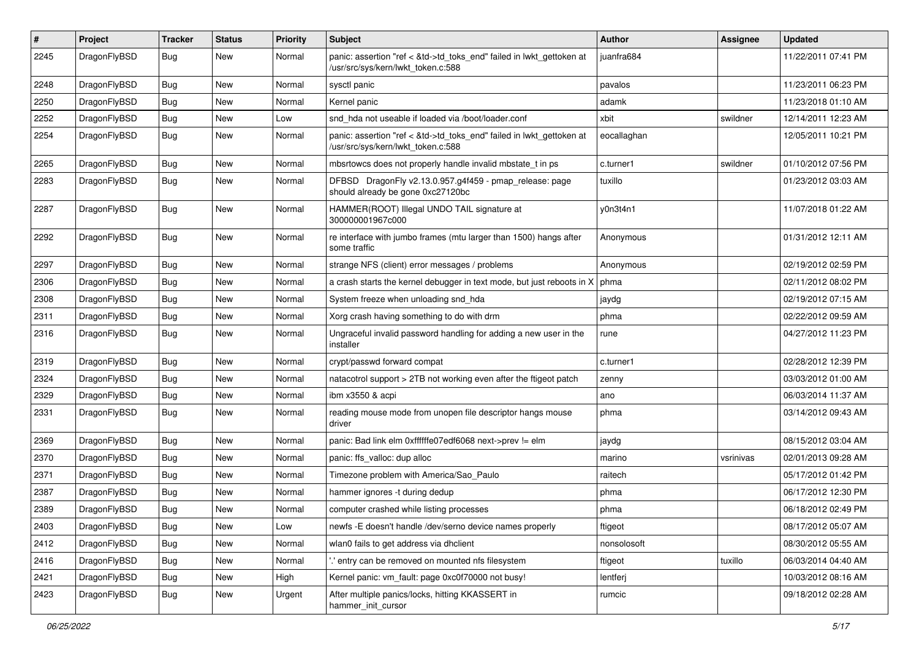| #    | Project      | <b>Tracker</b> | <b>Status</b> | <b>Priority</b> | Subject                                                                                                    | <b>Author</b> | <b>Assignee</b> | <b>Updated</b>      |
|------|--------------|----------------|---------------|-----------------|------------------------------------------------------------------------------------------------------------|---------------|-----------------|---------------------|
| 2245 | DragonFlyBSD | <b>Bug</b>     | <b>New</b>    | Normal          | panic: assertion "ref < &td->td_toks_end" failed in lwkt_gettoken at<br>/usr/src/sys/kern/lwkt_token.c:588 | juanfra684    |                 | 11/22/2011 07:41 PM |
| 2248 | DragonFlyBSD | <b>Bug</b>     | <b>New</b>    | Normal          | sysctl panic                                                                                               | pavalos       |                 | 11/23/2011 06:23 PM |
| 2250 | DragonFlyBSD | <b>Bug</b>     | New           | Normal          | Kernel panic                                                                                               | adamk         |                 | 11/23/2018 01:10 AM |
| 2252 | DragonFlyBSD | <b>Bug</b>     | <b>New</b>    | Low             | snd hda not useable if loaded via /boot/loader.conf                                                        | xbit          | swildner        | 12/14/2011 12:23 AM |
| 2254 | DragonFlyBSD | <b>Bug</b>     | New           | Normal          | panic: assertion "ref < &td->td toks end" failed in lwkt gettoken at<br>/usr/src/sys/kern/lwkt token.c:588 | eocallaghan   |                 | 12/05/2011 10:21 PM |
| 2265 | DragonFlyBSD | Bug            | <b>New</b>    | Normal          | mbsrtowcs does not properly handle invalid mbstate t in ps                                                 | c.turner1     | swildner        | 01/10/2012 07:56 PM |
| 2283 | DragonFlyBSD | <b>Bug</b>     | New           | Normal          | DFBSD DragonFly v2.13.0.957.g4f459 - pmap_release: page<br>should already be gone 0xc27120bc               | tuxillo       |                 | 01/23/2012 03:03 AM |
| 2287 | DragonFlyBSD | <b>Bug</b>     | <b>New</b>    | Normal          | HAMMER(ROOT) Illegal UNDO TAIL signature at<br>300000001967c000                                            | y0n3t4n1      |                 | 11/07/2018 01:22 AM |
| 2292 | DragonFlyBSD | <b>Bug</b>     | <b>New</b>    | Normal          | re interface with jumbo frames (mtu larger than 1500) hangs after<br>some traffic                          | Anonymous     |                 | 01/31/2012 12:11 AM |
| 2297 | DragonFlyBSD | <b>Bug</b>     | <b>New</b>    | Normal          | strange NFS (client) error messages / problems                                                             | Anonymous     |                 | 02/19/2012 02:59 PM |
| 2306 | DragonFlyBSD | <b>Bug</b>     | <b>New</b>    | Normal          | a crash starts the kernel debugger in text mode, but just reboots in X                                     | phma          |                 | 02/11/2012 08:02 PM |
| 2308 | DragonFlyBSD | <b>Bug</b>     | New           | Normal          | System freeze when unloading snd hda                                                                       | jaydg         |                 | 02/19/2012 07:15 AM |
| 2311 | DragonFlyBSD | <b>Bug</b>     | <b>New</b>    | Normal          | Xorg crash having something to do with drm                                                                 | phma          |                 | 02/22/2012 09:59 AM |
| 2316 | DragonFlyBSD | <b>Bug</b>     | <b>New</b>    | Normal          | Ungraceful invalid password handling for adding a new user in the<br>installer                             | rune          |                 | 04/27/2012 11:23 PM |
| 2319 | DragonFlyBSD | <b>Bug</b>     | <b>New</b>    | Normal          | crypt/passwd forward compat                                                                                | c.turner1     |                 | 02/28/2012 12:39 PM |
| 2324 | DragonFlyBSD | Bug            | <b>New</b>    | Normal          | natacotrol support > 2TB not working even after the ftigeot patch                                          | zenny         |                 | 03/03/2012 01:00 AM |
| 2329 | DragonFlyBSD | <b>Bug</b>     | New           | Normal          | ibm x3550 & acpi                                                                                           | ano           |                 | 06/03/2014 11:37 AM |
| 2331 | DragonFlyBSD | <b>Bug</b>     | New           | Normal          | reading mouse mode from unopen file descriptor hangs mouse<br>driver                                       | phma          |                 | 03/14/2012 09:43 AM |
| 2369 | DragonFlyBSD | <b>Bug</b>     | <b>New</b>    | Normal          | panic: Bad link elm 0xffffffe07edf6068 next->prev != elm                                                   | jaydg         |                 | 08/15/2012 03:04 AM |
| 2370 | DragonFlyBSD | <b>Bug</b>     | New           | Normal          | panic: ffs valloc: dup alloc                                                                               | marino        | vsrinivas       | 02/01/2013 09:28 AM |
| 2371 | DragonFlyBSD | <b>Bug</b>     | New           | Normal          | Timezone problem with America/Sao_Paulo                                                                    | raitech       |                 | 05/17/2012 01:42 PM |
| 2387 | DragonFlyBSD | <b>Bug</b>     | <b>New</b>    | Normal          | hammer ignores -t during dedup                                                                             | phma          |                 | 06/17/2012 12:30 PM |
| 2389 | DragonFlyBSD | Bug            | <b>New</b>    | Normal          | computer crashed while listing processes                                                                   | phma          |                 | 06/18/2012 02:49 PM |
| 2403 | DragonFlyBSD | Bug            | <b>New</b>    | Low             | newfs -E doesn't handle /dev/serno device names properly                                                   | ftigeot       |                 | 08/17/2012 05:07 AM |
| 2412 | DragonFlyBSD | Bug            | New           | Normal          | wlan0 fails to get address via dhclient                                                                    | nonsolosoft   |                 | 08/30/2012 05:55 AM |
| 2416 | DragonFlyBSD | <b>Bug</b>     | New           | Normal          | entry can be removed on mounted nfs filesystem                                                             | ftigeot       | tuxillo         | 06/03/2014 04:40 AM |
| 2421 | DragonFlyBSD | <b>Bug</b>     | New           | High            | Kernel panic: vm fault: page 0xc0f70000 not busy!                                                          | lentferj      |                 | 10/03/2012 08:16 AM |
| 2423 | DragonFlyBSD | <b>Bug</b>     | New           | Urgent          | After multiple panics/locks, hitting KKASSERT in<br>hammer_init_cursor                                     | rumcic        |                 | 09/18/2012 02:28 AM |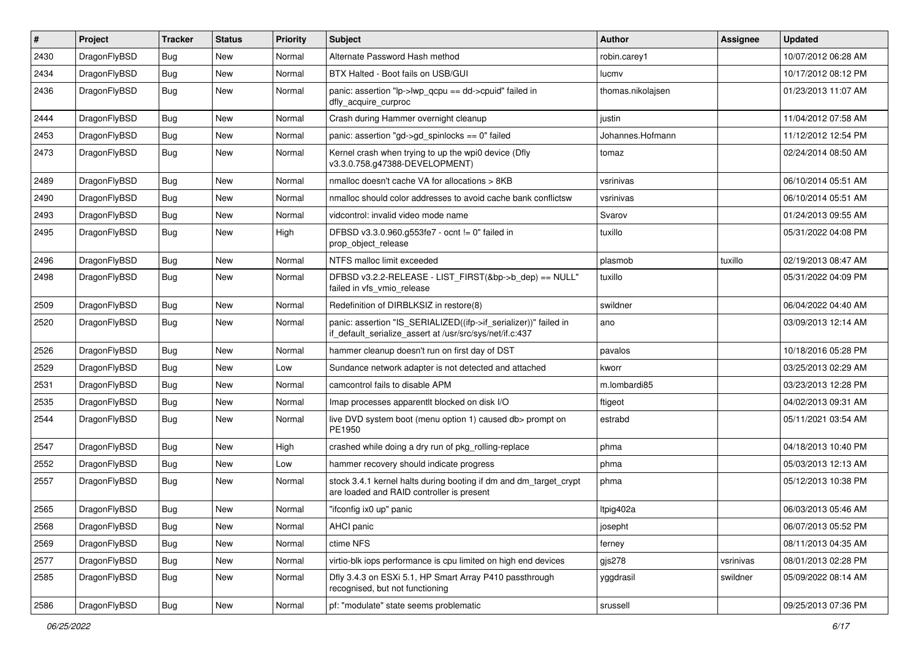| #    | Project      | <b>Tracker</b> | <b>Status</b> | <b>Priority</b> | Subject                                                                                                                      | <b>Author</b>     | Assignee  | <b>Updated</b>      |
|------|--------------|----------------|---------------|-----------------|------------------------------------------------------------------------------------------------------------------------------|-------------------|-----------|---------------------|
| 2430 | DragonFlyBSD | Bug            | New           | Normal          | Alternate Password Hash method                                                                                               | robin.carey1      |           | 10/07/2012 06:28 AM |
| 2434 | DragonFlyBSD | <b>Bug</b>     | New           | Normal          | BTX Halted - Boot fails on USB/GUI                                                                                           | lucmv             |           | 10/17/2012 08:12 PM |
| 2436 | DragonFlyBSD | Bug            | <b>New</b>    | Normal          | panic: assertion "lp->lwp_qcpu == dd->cpuid" failed in<br>dfly_acquire_curproc                                               | thomas.nikolajsen |           | 01/23/2013 11:07 AM |
| 2444 | DragonFlyBSD | Bug            | <b>New</b>    | Normal          | Crash during Hammer overnight cleanup                                                                                        | justin            |           | 11/04/2012 07:58 AM |
| 2453 | DragonFlyBSD | <b>Bug</b>     | New           | Normal          | panic: assertion "gd->gd_spinlocks == 0" failed                                                                              | Johannes.Hofmann  |           | 11/12/2012 12:54 PM |
| 2473 | DragonFlyBSD | Bug            | New           | Normal          | Kernel crash when trying to up the wpi0 device (Dfly<br>v3.3.0.758.g47388-DEVELOPMENT)                                       | tomaz             |           | 02/24/2014 08:50 AM |
| 2489 | DragonFlyBSD | Bug            | <b>New</b>    | Normal          | nmalloc doesn't cache VA for allocations > 8KB                                                                               | vsrinivas         |           | 06/10/2014 05:51 AM |
| 2490 | DragonFlyBSD | Bug            | New           | Normal          | nmalloc should color addresses to avoid cache bank conflictsw                                                                | vsrinivas         |           | 06/10/2014 05:51 AM |
| 2493 | DragonFlyBSD | <b>Bug</b>     | <b>New</b>    | Normal          | vidcontrol: invalid video mode name                                                                                          | Svarov            |           | 01/24/2013 09:55 AM |
| 2495 | DragonFlyBSD | Bug            | New           | High            | DFBSD v3.3.0.960.g553fe7 - ocnt != 0" failed in<br>prop_object_release                                                       | tuxillo           |           | 05/31/2022 04:08 PM |
| 2496 | DragonFlyBSD | Bug            | New           | Normal          | NTFS malloc limit exceeded                                                                                                   | plasmob           | tuxillo   | 02/19/2013 08:47 AM |
| 2498 | DragonFlyBSD | Bug            | New           | Normal          | DFBSD v3.2.2-RELEASE - LIST_FIRST(&bp->b_dep) == NULL"<br>failed in vfs_vmio_release                                         | tuxillo           |           | 05/31/2022 04:09 PM |
| 2509 | DragonFlyBSD | Bug            | <b>New</b>    | Normal          | Redefinition of DIRBLKSIZ in restore(8)                                                                                      | swildner          |           | 06/04/2022 04:40 AM |
| 2520 | DragonFlyBSD | Bug            | New           | Normal          | panic: assertion "IS_SERIALIZED((ifp->if_serializer))" failed in<br>if_default_serialize_assert at /usr/src/sys/net/if.c:437 | ano               |           | 03/09/2013 12:14 AM |
| 2526 | DragonFlyBSD | <b>Bug</b>     | <b>New</b>    | Normal          | hammer cleanup doesn't run on first day of DST                                                                               | pavalos           |           | 10/18/2016 05:28 PM |
| 2529 | DragonFlyBSD | Bug            | <b>New</b>    | Low             | Sundance network adapter is not detected and attached                                                                        | kworr             |           | 03/25/2013 02:29 AM |
| 2531 | DragonFlyBSD | Bug            | New           | Normal          | camcontrol fails to disable APM                                                                                              | m.lombardi85      |           | 03/23/2013 12:28 PM |
| 2535 | DragonFlyBSD | Bug            | New           | Normal          | Imap processes apparentlt blocked on disk I/O                                                                                | ftigeot           |           | 04/02/2013 09:31 AM |
| 2544 | DragonFlyBSD | Bug            | New           | Normal          | live DVD system boot (menu option 1) caused db> prompt on<br>PE1950                                                          | estrabd           |           | 05/11/2021 03:54 AM |
| 2547 | DragonFlyBSD | <b>Bug</b>     | New           | High            | crashed while doing a dry run of pkg_rolling-replace                                                                         | phma              |           | 04/18/2013 10:40 PM |
| 2552 | DragonFlyBSD | Bug            | New           | Low             | hammer recovery should indicate progress                                                                                     | phma              |           | 05/03/2013 12:13 AM |
| 2557 | DragonFlyBSD | Bug            | New           | Normal          | stock 3.4.1 kernel halts during booting if dm and dm_target_crypt<br>are loaded and RAID controller is present               | phma              |           | 05/12/2013 10:38 PM |
| 2565 | DragonFlyBSD | Bug            | <b>New</b>    | Normal          | "ifconfig ix0 up" panic                                                                                                      | Itpig402a         |           | 06/03/2013 05:46 AM |
| 2568 | DragonFlyBSD | <b>Bug</b>     | New           | Normal          | AHCI panic                                                                                                                   | josepht           |           | 06/07/2013 05:52 PM |
| 2569 | DragonFlyBSD | <b>Bug</b>     | <b>New</b>    | Normal          | ctime NFS                                                                                                                    | ferney            |           | 08/11/2013 04:35 AM |
| 2577 | DragonFlyBSD | Bug            | <b>New</b>    | Normal          | virtio-blk iops performance is cpu limited on high end devices                                                               | gjs278            | vsrinivas | 08/01/2013 02:28 PM |
| 2585 | DragonFlyBSD | <b>Bug</b>     | New           | Normal          | Dfly 3.4.3 on ESXi 5.1, HP Smart Array P410 passthrough<br>recognised, but not functioning                                   | yggdrasil         | swildner  | 05/09/2022 08:14 AM |
| 2586 | DragonFlyBSD | <b>Bug</b>     | New           | Normal          | pf: "modulate" state seems problematic                                                                                       | srussell          |           | 09/25/2013 07:36 PM |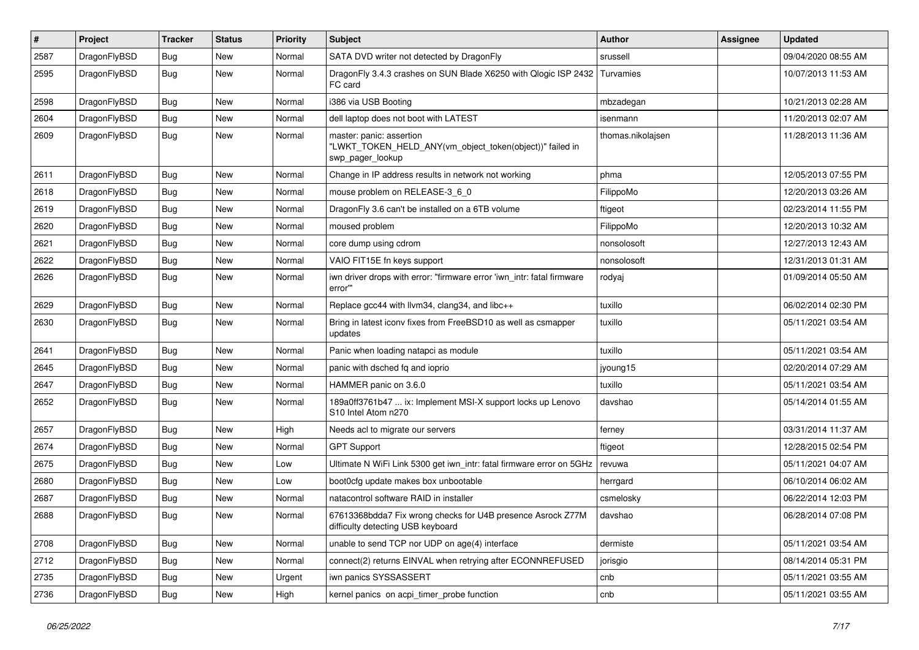| #    | Project      | <b>Tracker</b> | <b>Status</b> | <b>Priority</b> | Subject                                                                                                  | Author            | Assignee | <b>Updated</b>      |
|------|--------------|----------------|---------------|-----------------|----------------------------------------------------------------------------------------------------------|-------------------|----------|---------------------|
| 2587 | DragonFlyBSD | Bug            | New           | Normal          | SATA DVD writer not detected by DragonFly                                                                | srussell          |          | 09/04/2020 08:55 AM |
| 2595 | DragonFlyBSD | <b>Bug</b>     | New           | Normal          | DragonFly 3.4.3 crashes on SUN Blade X6250 with Qlogic ISP 2432<br>FC card                               | Turvamies         |          | 10/07/2013 11:53 AM |
| 2598 | DragonFlyBSD | Bug            | <b>New</b>    | Normal          | i386 via USB Booting                                                                                     | mbzadegan         |          | 10/21/2013 02:28 AM |
| 2604 | DragonFlyBSD | Bug            | New           | Normal          | dell laptop does not boot with LATEST                                                                    | isenmann          |          | 11/20/2013 02:07 AM |
| 2609 | DragonFlyBSD | Bug            | <b>New</b>    | Normal          | master: panic: assertion<br>"LWKT_TOKEN_HELD_ANY(vm_object_token(object))" failed in<br>swp_pager_lookup | thomas.nikolajsen |          | 11/28/2013 11:36 AM |
| 2611 | DragonFlyBSD | Bug            | <b>New</b>    | Normal          | Change in IP address results in network not working                                                      | phma              |          | 12/05/2013 07:55 PM |
| 2618 | DragonFlyBSD | Bug            | <b>New</b>    | Normal          | mouse problem on RELEASE-3_6_0                                                                           | FilippoMo         |          | 12/20/2013 03:26 AM |
| 2619 | DragonFlyBSD | <b>Bug</b>     | New           | Normal          | DragonFly 3.6 can't be installed on a 6TB volume                                                         | ftigeot           |          | 02/23/2014 11:55 PM |
| 2620 | DragonFlyBSD | Bug            | <b>New</b>    | Normal          | moused problem                                                                                           | FilippoMo         |          | 12/20/2013 10:32 AM |
| 2621 | DragonFlyBSD | Bug            | <b>New</b>    | Normal          | core dump using cdrom                                                                                    | nonsolosoft       |          | 12/27/2013 12:43 AM |
| 2622 | DragonFlyBSD | Bug            | <b>New</b>    | Normal          | VAIO FIT15E fn keys support                                                                              | nonsolosoft       |          | 12/31/2013 01:31 AM |
| 2626 | DragonFlyBSD | Bug            | New           | Normal          | iwn driver drops with error: "firmware error 'iwn_intr: fatal firmware<br>error"                         | rodyaj            |          | 01/09/2014 05:50 AM |
| 2629 | DragonFlyBSD | Bug            | New           | Normal          | Replace gcc44 with llvm34, clang34, and libc++                                                           | tuxillo           |          | 06/02/2014 02:30 PM |
| 2630 | DragonFlyBSD | Bug            | <b>New</b>    | Normal          | Bring in latest iconv fixes from FreeBSD10 as well as csmapper<br>updates                                | tuxillo           |          | 05/11/2021 03:54 AM |
| 2641 | DragonFlyBSD | Bug            | <b>New</b>    | Normal          | Panic when loading natapci as module                                                                     | tuxillo           |          | 05/11/2021 03:54 AM |
| 2645 | DragonFlyBSD | Bug            | <b>New</b>    | Normal          | panic with dsched fq and ioprio                                                                          | jyoung15          |          | 02/20/2014 07:29 AM |
| 2647 | DragonFlyBSD | Bug            | New           | Normal          | HAMMER panic on 3.6.0                                                                                    | tuxillo           |          | 05/11/2021 03:54 AM |
| 2652 | DragonFlyBSD | Bug            | New           | Normal          | 189a0ff3761b47  ix: Implement MSI-X support locks up Lenovo<br>S10 Intel Atom n270                       | davshao           |          | 05/14/2014 01:55 AM |
| 2657 | DragonFlyBSD | Bug            | <b>New</b>    | High            | Needs acl to migrate our servers                                                                         | ferney            |          | 03/31/2014 11:37 AM |
| 2674 | DragonFlyBSD | Bug            | <b>New</b>    | Normal          | <b>GPT Support</b>                                                                                       | ftigeot           |          | 12/28/2015 02:54 PM |
| 2675 | DragonFlyBSD | Bug            | <b>New</b>    | Low             | Ultimate N WiFi Link 5300 get iwn_intr: fatal firmware error on 5GHz                                     | revuwa            |          | 05/11/2021 04:07 AM |
| 2680 | DragonFlyBSD | Bug            | <b>New</b>    | Low             | boot0cfg update makes box unbootable                                                                     | herrgard          |          | 06/10/2014 06:02 AM |
| 2687 | DragonFlyBSD | <b>Bug</b>     | New           | Normal          | natacontrol software RAID in installer                                                                   | csmelosky         |          | 06/22/2014 12:03 PM |
| 2688 | DragonFlyBSD | Bug            | New           | Normal          | 67613368bdda7 Fix wrong checks for U4B presence Asrock Z77M<br>difficulty detecting USB keyboard         | davshao           |          | 06/28/2014 07:08 PM |
| 2708 | DragonFlyBSD | <b>Bug</b>     | <b>New</b>    | Normal          | unable to send TCP nor UDP on age(4) interface                                                           | dermiste          |          | 05/11/2021 03:54 AM |
| 2712 | DragonFlyBSD | Bug            | New           | Normal          | connect(2) returns EINVAL when retrying after ECONNREFUSED                                               | jorisgio          |          | 08/14/2014 05:31 PM |
| 2735 | DragonFlyBSD | Bug            | <b>New</b>    | Urgent          | iwn panics SYSSASSERT                                                                                    | cnb               |          | 05/11/2021 03:55 AM |
| 2736 | DragonFlyBSD | <b>Bug</b>     | New           | High            | kernel panics on acpi_timer_probe function                                                               | cnb               |          | 05/11/2021 03:55 AM |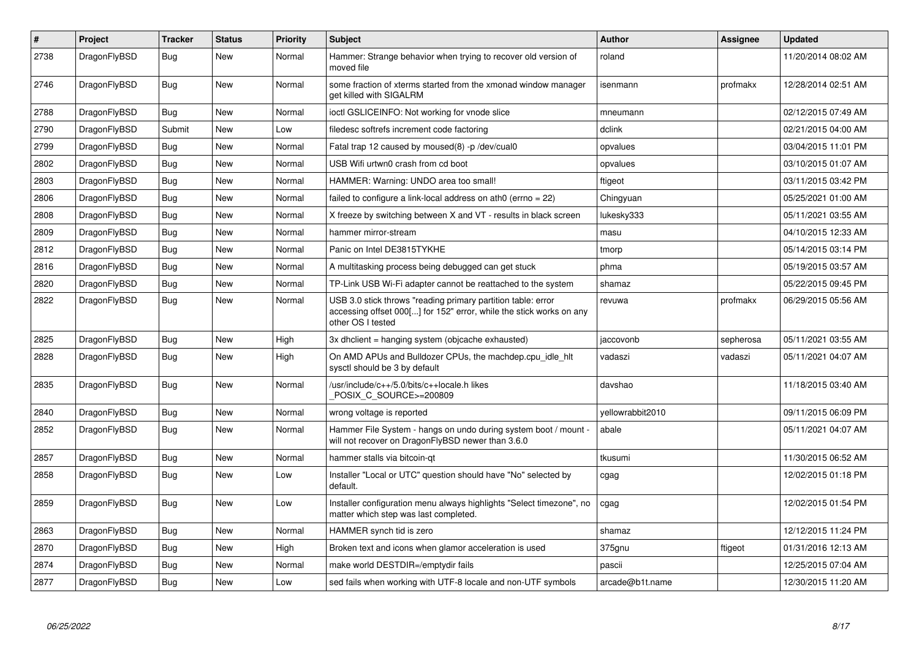| $\vert$ # | Project      | <b>Tracker</b> | <b>Status</b> | <b>Priority</b> | <b>Subject</b>                                                                                                                                           | <b>Author</b>    | Assignee  | <b>Updated</b>      |
|-----------|--------------|----------------|---------------|-----------------|----------------------------------------------------------------------------------------------------------------------------------------------------------|------------------|-----------|---------------------|
| 2738      | DragonFlyBSD | Bug            | <b>New</b>    | Normal          | Hammer: Strange behavior when trying to recover old version of<br>moved file                                                                             | roland           |           | 11/20/2014 08:02 AM |
| 2746      | DragonFlyBSD | Bug            | New           | Normal          | some fraction of xterms started from the xmonad window manager<br>get killed with SIGALRM                                                                | isenmann         | profmakx  | 12/28/2014 02:51 AM |
| 2788      | DragonFlyBSD | Bug            | <b>New</b>    | Normal          | ioctl GSLICEINFO: Not working for vnode slice                                                                                                            | mneumann         |           | 02/12/2015 07:49 AM |
| 2790      | DragonFlyBSD | Submit         | New           | Low             | filedesc softrefs increment code factoring                                                                                                               | dclink           |           | 02/21/2015 04:00 AM |
| 2799      | DragonFlyBSD | Bug            | <b>New</b>    | Normal          | Fatal trap 12 caused by moused(8) -p/dev/cual0                                                                                                           | opvalues         |           | 03/04/2015 11:01 PM |
| 2802      | DragonFlyBSD | <b>Bug</b>     | <b>New</b>    | Normal          | USB Wifi urtwn0 crash from cd boot                                                                                                                       | opvalues         |           | 03/10/2015 01:07 AM |
| 2803      | DragonFlyBSD | Bug            | <b>New</b>    | Normal          | HAMMER: Warning: UNDO area too small!                                                                                                                    | ftigeot          |           | 03/11/2015 03:42 PM |
| 2806      | DragonFlyBSD | <b>Bug</b>     | <b>New</b>    | Normal          | failed to configure a link-local address on ath $0$ (errno = 22)                                                                                         | Chingyuan        |           | 05/25/2021 01:00 AM |
| 2808      | DragonFlyBSD | <b>Bug</b>     | <b>New</b>    | Normal          | X freeze by switching between X and VT - results in black screen                                                                                         | lukesky333       |           | 05/11/2021 03:55 AM |
| 2809      | DragonFlyBSD | Bug            | <b>New</b>    | Normal          | hammer mirror-stream                                                                                                                                     | masu             |           | 04/10/2015 12:33 AM |
| 2812      | DragonFlyBSD | Bug            | <b>New</b>    | Normal          | Panic on Intel DE3815TYKHE                                                                                                                               | tmorp            |           | 05/14/2015 03:14 PM |
| 2816      | DragonFlyBSD | Bug            | New           | Normal          | A multitasking process being debugged can get stuck                                                                                                      | phma             |           | 05/19/2015 03:57 AM |
| 2820      | DragonFlyBSD | Bug            | New           | Normal          | TP-Link USB Wi-Fi adapter cannot be reattached to the system                                                                                             | shamaz           |           | 05/22/2015 09:45 PM |
| 2822      | DragonFlyBSD | <b>Bug</b>     | <b>New</b>    | Normal          | USB 3.0 stick throws "reading primary partition table: error<br>accessing offset 000[] for 152" error, while the stick works on any<br>other OS I tested | revuwa           | profmakx  | 06/29/2015 05:56 AM |
| 2825      | DragonFlyBSD | <b>Bug</b>     | <b>New</b>    | High            | 3x dhclient = hanging system (objcache exhausted)                                                                                                        | jaccovonb        | sepherosa | 05/11/2021 03:55 AM |
| 2828      | DragonFlyBSD | Bug            | New           | High            | On AMD APUs and Bulldozer CPUs, the machdep.cpu idle hit<br>sysctl should be 3 by default                                                                | vadaszi          | vadaszi   | 05/11/2021 04:07 AM |
| 2835      | DragonFlyBSD | Bug            | <b>New</b>    | Normal          | /usr/include/c++/5.0/bits/c++locale.h likes<br>POSIX C SOURCE>=200809                                                                                    | davshao          |           | 11/18/2015 03:40 AM |
| 2840      | DragonFlyBSD | <b>Bug</b>     | <b>New</b>    | Normal          | wrong voltage is reported                                                                                                                                | yellowrabbit2010 |           | 09/11/2015 06:09 PM |
| 2852      | DragonFlyBSD | Bug            | New           | Normal          | Hammer File System - hangs on undo during system boot / mount -<br>will not recover on DragonFlyBSD newer than 3.6.0                                     | abale            |           | 05/11/2021 04:07 AM |
| 2857      | DragonFlyBSD | <b>Bug</b>     | <b>New</b>    | Normal          | hammer stalls via bitcoin-qt                                                                                                                             | tkusumi          |           | 11/30/2015 06:52 AM |
| 2858      | DragonFlyBSD | Bug            | New           | Low             | Installer "Local or UTC" question should have "No" selected by<br>default.                                                                               | cgag             |           | 12/02/2015 01:18 PM |
| 2859      | DragonFlyBSD | <b>Bug</b>     | <b>New</b>    | Low             | Installer configuration menu always highlights "Select timezone", no<br>matter which step was last completed.                                            | cgag             |           | 12/02/2015 01:54 PM |
| 2863      | DragonFlyBSD | <b>Bug</b>     | <b>New</b>    | Normal          | HAMMER synch tid is zero                                                                                                                                 | shamaz           |           | 12/12/2015 11:24 PM |
| 2870      | DragonFlyBSD | Bug            | New           | High            | Broken text and icons when glamor acceleration is used                                                                                                   | 375gnu           | ftigeot   | 01/31/2016 12:13 AM |
| 2874      | DragonFlyBSD | Bug            | New           | Normal          | make world DESTDIR=/emptydir fails                                                                                                                       | pascii           |           | 12/25/2015 07:04 AM |
| 2877      | DragonFlyBSD | Bug            | <b>New</b>    | Low             | sed fails when working with UTF-8 locale and non-UTF symbols                                                                                             | arcade@b1t.name  |           | 12/30/2015 11:20 AM |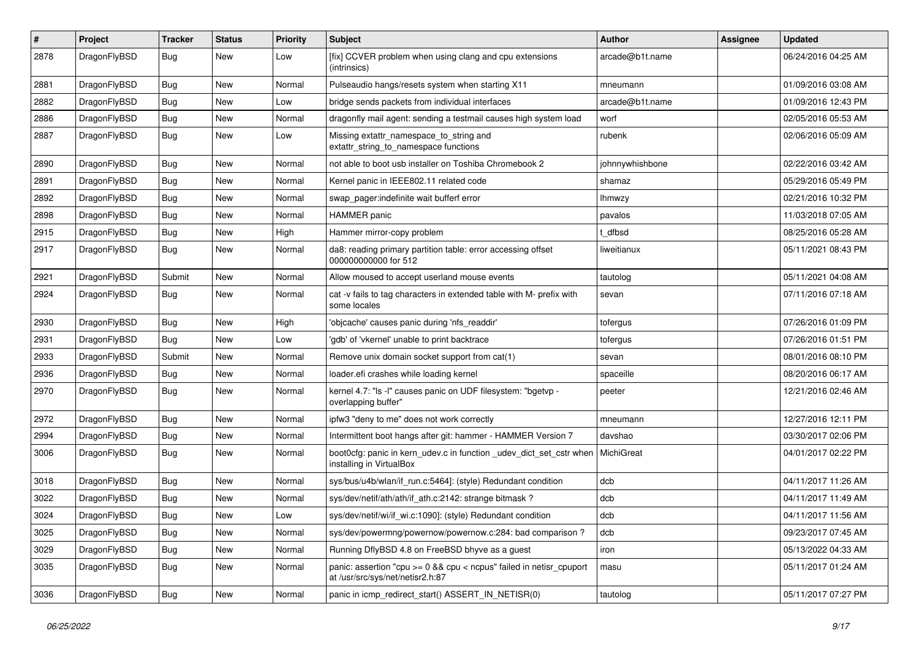| $\#$ | Project      | <b>Tracker</b> | <b>Status</b> | <b>Priority</b> | Subject                                                                                                 | <b>Author</b>   | Assignee | <b>Updated</b>      |
|------|--------------|----------------|---------------|-----------------|---------------------------------------------------------------------------------------------------------|-----------------|----------|---------------------|
| 2878 | DragonFlyBSD | <b>Bug</b>     | New           | Low             | [fix] CCVER problem when using clang and cpu extensions<br>(intrinsics)                                 | arcade@b1t.name |          | 06/24/2016 04:25 AM |
| 2881 | DragonFlyBSD | <b>Bug</b>     | New           | Normal          | Pulseaudio hangs/resets system when starting X11                                                        | mneumann        |          | 01/09/2016 03:08 AM |
| 2882 | DragonFlyBSD | <b>Bug</b>     | New           | Low             | bridge sends packets from individual interfaces                                                         | arcade@b1t.name |          | 01/09/2016 12:43 PM |
| 2886 | DragonFlyBSD | <b>Bug</b>     | New           | Normal          | dragonfly mail agent: sending a testmail causes high system load                                        | worf            |          | 02/05/2016 05:53 AM |
| 2887 | DragonFlyBSD | <b>Bug</b>     | <b>New</b>    | Low             | Missing extattr_namespace_to_string and<br>extattr_string_to_namespace functions                        | rubenk          |          | 02/06/2016 05:09 AM |
| 2890 | DragonFlyBSD | <b>Bug</b>     | New           | Normal          | not able to boot usb installer on Toshiba Chromebook 2                                                  | johnnywhishbone |          | 02/22/2016 03:42 AM |
| 2891 | DragonFlyBSD | <b>Bug</b>     | New           | Normal          | Kernel panic in IEEE802.11 related code                                                                 | shamaz          |          | 05/29/2016 05:49 PM |
| 2892 | DragonFlyBSD | Bug            | <b>New</b>    | Normal          | swap_pager:indefinite wait bufferf error                                                                | <b>Ihmwzy</b>   |          | 02/21/2016 10:32 PM |
| 2898 | DragonFlyBSD | <b>Bug</b>     | New           | Normal          | <b>HAMMER</b> panic                                                                                     | pavalos         |          | 11/03/2018 07:05 AM |
| 2915 | DragonFlyBSD | <b>Bug</b>     | New           | High            | Hammer mirror-copy problem                                                                              | t dfbsd         |          | 08/25/2016 05:28 AM |
| 2917 | DragonFlyBSD | Bug            | New           | Normal          | da8: reading primary partition table: error accessing offset<br>000000000000 for 512                    | liweitianux     |          | 05/11/2021 08:43 PM |
| 2921 | DragonFlyBSD | Submit         | New           | Normal          | Allow moused to accept userland mouse events                                                            | tautolog        |          | 05/11/2021 04:08 AM |
| 2924 | DragonFlyBSD | <b>Bug</b>     | <b>New</b>    | Normal          | cat -v fails to tag characters in extended table with M- prefix with<br>some locales                    | sevan           |          | 07/11/2016 07:18 AM |
| 2930 | DragonFlyBSD | Bug            | <b>New</b>    | High            | 'objcache' causes panic during 'nfs_readdir'                                                            | tofergus        |          | 07/26/2016 01:09 PM |
| 2931 | DragonFlyBSD | <b>Bug</b>     | New           | Low             | 'gdb' of 'vkernel' unable to print backtrace                                                            | tofergus        |          | 07/26/2016 01:51 PM |
| 2933 | DragonFlyBSD | Submit         | New           | Normal          | Remove unix domain socket support from cat(1)                                                           | sevan           |          | 08/01/2016 08:10 PM |
| 2936 | DragonFlyBSD | Bug            | New           | Normal          | loader.efi crashes while loading kernel                                                                 | spaceille       |          | 08/20/2016 06:17 AM |
| 2970 | DragonFlyBSD | <b>Bug</b>     | <b>New</b>    | Normal          | kernel 4.7: "Is -l" causes panic on UDF filesystem: "bgetvp -<br>overlapping buffer"                    | peeter          |          | 12/21/2016 02:46 AM |
| 2972 | DragonFlyBSD | <b>Bug</b>     | New           | Normal          | ipfw3 "deny to me" does not work correctly                                                              | mneumann        |          | 12/27/2016 12:11 PM |
| 2994 | DragonFlyBSD | <b>Bug</b>     | New           | Normal          | Intermittent boot hangs after git: hammer - HAMMER Version 7                                            | davshao         |          | 03/30/2017 02:06 PM |
| 3006 | DragonFlyBSD | Bug            | New           | Normal          | boot0cfg: panic in kern_udev.c in function _udev_dict_set_cstr when<br>installing in VirtualBox         | MichiGreat      |          | 04/01/2017 02:22 PM |
| 3018 | DragonFlyBSD | <b>Bug</b>     | New           | Normal          | sys/bus/u4b/wlan/if_run.c:5464]: (style) Redundant condition                                            | dcb             |          | 04/11/2017 11:26 AM |
| 3022 | DragonFlyBSD | <b>Bug</b>     | New           | Normal          | sys/dev/netif/ath/ath/if_ath.c:2142: strange bitmask?                                                   | dcb             |          | 04/11/2017 11:49 AM |
| 3024 | DragonFlyBSD | Bug            | <b>New</b>    | Low             | sys/dev/netif/wi/if_wi.c:1090]: (style) Redundant condition                                             | dcb             |          | 04/11/2017 11:56 AM |
| 3025 | DragonFlyBSD | <b>Bug</b>     | New           | Normal          | sys/dev/powermng/powernow/powernow.c:284: bad comparison?                                               | dcb             |          | 09/23/2017 07:45 AM |
| 3029 | DragonFlyBSD | <b>Bug</b>     | New           | Normal          | Running DflyBSD 4.8 on FreeBSD bhyve as a guest                                                         | iron            |          | 05/13/2022 04:33 AM |
| 3035 | DragonFlyBSD | <b>Bug</b>     | New           | Normal          | panic: assertion "cpu >= 0 && cpu < ncpus" failed in netisr_cpuport<br>at /usr/src/sys/net/netisr2.h:87 | masu            |          | 05/11/2017 01:24 AM |
| 3036 | DragonFlyBSD | <b>Bug</b>     | New           | Normal          | panic in icmp_redirect_start() ASSERT_IN_NETISR(0)                                                      | tautolog        |          | 05/11/2017 07:27 PM |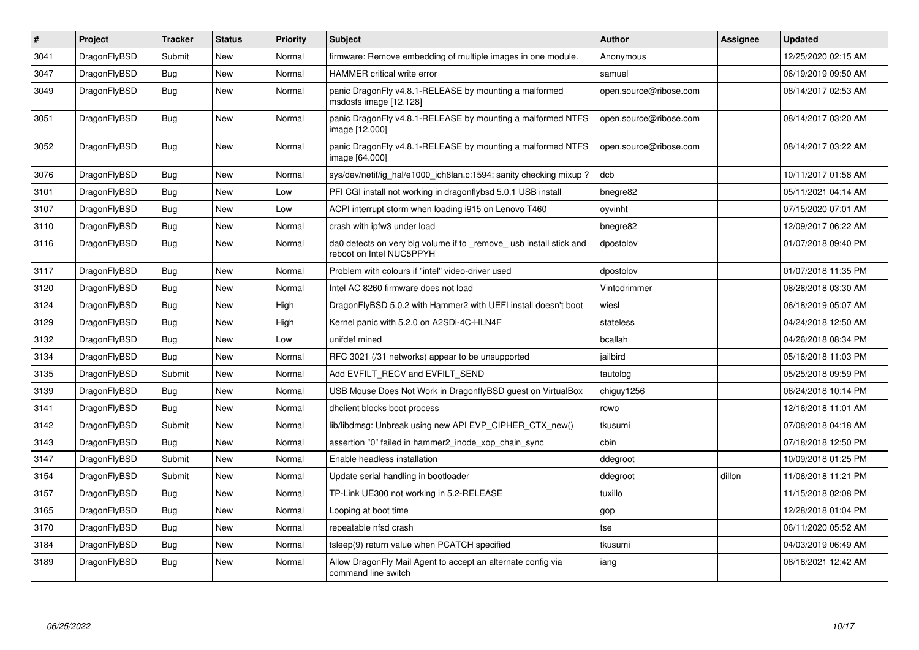| $\pmb{\#}$ | <b>Project</b> | <b>Tracker</b> | <b>Status</b> | Priority | <b>Subject</b>                                                                                  | <b>Author</b>          | Assignee | <b>Updated</b>      |
|------------|----------------|----------------|---------------|----------|-------------------------------------------------------------------------------------------------|------------------------|----------|---------------------|
| 3041       | DragonFlyBSD   | Submit         | <b>New</b>    | Normal   | firmware: Remove embedding of multiple images in one module.                                    | Anonymous              |          | 12/25/2020 02:15 AM |
| 3047       | DragonFlyBSD   | Bug            | <b>New</b>    | Normal   | <b>HAMMER</b> critical write error                                                              | samuel                 |          | 06/19/2019 09:50 AM |
| 3049       | DragonFlyBSD   | <b>Bug</b>     | <b>New</b>    | Normal   | panic DragonFly v4.8.1-RELEASE by mounting a malformed<br>msdosfs image [12.128]                | open.source@ribose.com |          | 08/14/2017 02:53 AM |
| 3051       | DragonFlyBSD   | Bug            | <b>New</b>    | Normal   | panic DragonFly v4.8.1-RELEASE by mounting a malformed NTFS<br>image [12.000]                   | open.source@ribose.com |          | 08/14/2017 03:20 AM |
| 3052       | DragonFlyBSD   | Bug            | New           | Normal   | panic DragonFly v4.8.1-RELEASE by mounting a malformed NTFS<br>image [64.000]                   | open.source@ribose.com |          | 08/14/2017 03:22 AM |
| 3076       | DragonFlyBSD   | <b>Bug</b>     | <b>New</b>    | Normal   | sys/dev/netif/ig hal/e1000 ich8lan.c:1594: sanity checking mixup?                               | dcb                    |          | 10/11/2017 01:58 AM |
| 3101       | DragonFlyBSD   | <b>Bug</b>     | <b>New</b>    | Low      | PFI CGI install not working in dragonflybsd 5.0.1 USB install                                   | bnegre82               |          | 05/11/2021 04:14 AM |
| 3107       | DragonFlyBSD   | Bug            | <b>New</b>    | Low      | ACPI interrupt storm when loading i915 on Lenovo T460                                           | oyvinht                |          | 07/15/2020 07:01 AM |
| 3110       | DragonFlyBSD   | Bug            | <b>New</b>    | Normal   | crash with ipfw3 under load                                                                     | bnegre82               |          | 12/09/2017 06:22 AM |
| 3116       | DragonFlyBSD   | Bug            | <b>New</b>    | Normal   | da0 detects on very big volume if to _remove_ usb install stick and<br>reboot on Intel NUC5PPYH | dpostolov              |          | 01/07/2018 09:40 PM |
| 3117       | DragonFlyBSD   | <b>Bug</b>     | <b>New</b>    | Normal   | Problem with colours if "intel" video-driver used                                               | dpostolov              |          | 01/07/2018 11:35 PM |
| 3120       | DragonFlyBSD   | Bug            | <b>New</b>    | Normal   | Intel AC 8260 firmware does not load                                                            | Vintodrimmer           |          | 08/28/2018 03:30 AM |
| 3124       | DragonFlyBSD   | Bug            | New           | High     | DragonFlyBSD 5.0.2 with Hammer2 with UEFI install doesn't boot                                  | wiesl                  |          | 06/18/2019 05:07 AM |
| 3129       | DragonFlyBSD   | <b>Bug</b>     | <b>New</b>    | High     | Kernel panic with 5.2.0 on A2SDi-4C-HLN4F                                                       | stateless              |          | 04/24/2018 12:50 AM |
| 3132       | DragonFlyBSD   | Bug            | <b>New</b>    | Low      | unifdef mined                                                                                   | bcallah                |          | 04/26/2018 08:34 PM |
| 3134       | DragonFlyBSD   | Bug            | <b>New</b>    | Normal   | RFC 3021 (/31 networks) appear to be unsupported                                                | jailbird               |          | 05/16/2018 11:03 PM |
| 3135       | DragonFlyBSD   | Submit         | <b>New</b>    | Normal   | Add EVFILT RECV and EVFILT SEND                                                                 | tautolog               |          | 05/25/2018 09:59 PM |
| 3139       | DragonFlyBSD   | <b>Bug</b>     | <b>New</b>    | Normal   | USB Mouse Does Not Work in DragonflyBSD guest on VirtualBox                                     | chiguy1256             |          | 06/24/2018 10:14 PM |
| 3141       | DragonFlyBSD   | Bug            | <b>New</b>    | Normal   | dhclient blocks boot process                                                                    | rowo                   |          | 12/16/2018 11:01 AM |
| 3142       | DragonFlyBSD   | Submit         | <b>New</b>    | Normal   | lib/libdmsg: Unbreak using new API EVP CIPHER CTX new()                                         | tkusumi                |          | 07/08/2018 04:18 AM |
| 3143       | DragonFlyBSD   | Bug            | <b>New</b>    | Normal   | assertion "0" failed in hammer2_inode_xop_chain_sync                                            | cbin                   |          | 07/18/2018 12:50 PM |
| 3147       | DragonFlyBSD   | Submit         | <b>New</b>    | Normal   | Enable headless installation                                                                    | ddegroot               |          | 10/09/2018 01:25 PM |
| 3154       | DragonFlyBSD   | Submit         | <b>New</b>    | Normal   | Update serial handling in bootloader                                                            | ddegroot               | dillon   | 11/06/2018 11:21 PM |
| 3157       | DragonFlyBSD   | Bug            | <b>New</b>    | Normal   | TP-Link UE300 not working in 5.2-RELEASE                                                        | tuxillo                |          | 11/15/2018 02:08 PM |
| 3165       | DragonFlyBSD   | <b>Bug</b>     | New           | Normal   | Looping at boot time                                                                            | gop                    |          | 12/28/2018 01:04 PM |
| 3170       | DragonFlyBSD   | Bug            | <b>New</b>    | Normal   | repeatable nfsd crash                                                                           | tse                    |          | 06/11/2020 05:52 AM |
| 3184       | DragonFlyBSD   | Bug            | New           | Normal   | tsleep(9) return value when PCATCH specified                                                    | tkusumi                |          | 04/03/2019 06:49 AM |
| 3189       | DragonFlyBSD   | <b>Bug</b>     | New           | Normal   | Allow DragonFly Mail Agent to accept an alternate config via<br>command line switch             | iang                   |          | 08/16/2021 12:42 AM |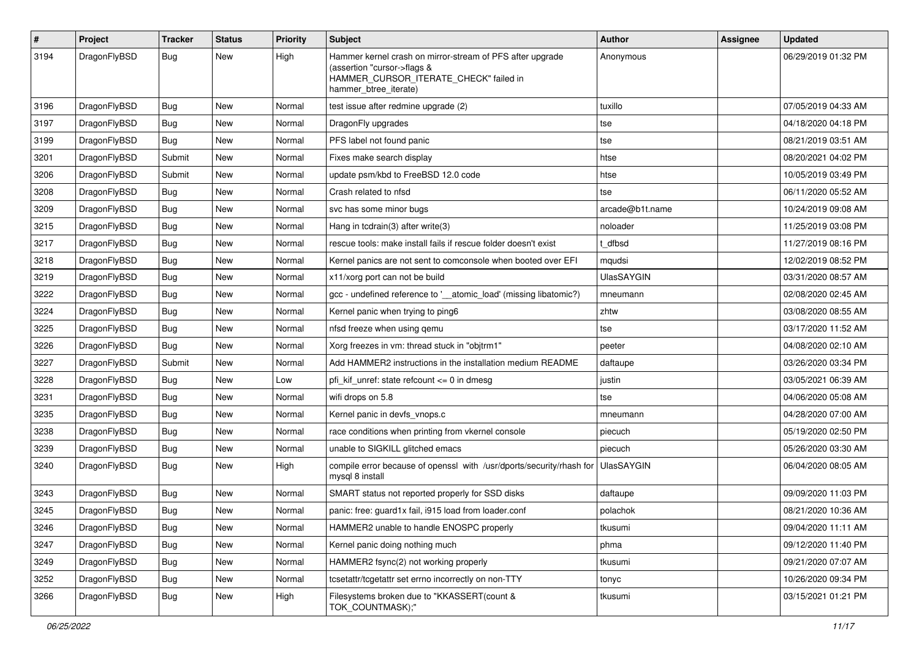| $\sharp$ | Project      | <b>Tracker</b> | <b>Status</b> | <b>Priority</b> | Subject                                                                                                                                                     | <b>Author</b>     | Assignee | <b>Updated</b>      |
|----------|--------------|----------------|---------------|-----------------|-------------------------------------------------------------------------------------------------------------------------------------------------------------|-------------------|----------|---------------------|
| 3194     | DragonFlyBSD | Bug            | <b>New</b>    | High            | Hammer kernel crash on mirror-stream of PFS after upgrade<br>(assertion "cursor->flags &<br>HAMMER_CURSOR_ITERATE_CHECK" failed in<br>hammer_btree_iterate) | Anonymous         |          | 06/29/2019 01:32 PM |
| 3196     | DragonFlyBSD | Bug            | <b>New</b>    | Normal          | test issue after redmine upgrade (2)                                                                                                                        | tuxillo           |          | 07/05/2019 04:33 AM |
| 3197     | DragonFlyBSD | <b>Bug</b>     | New           | Normal          | DragonFly upgrades                                                                                                                                          | tse               |          | 04/18/2020 04:18 PM |
| 3199     | DragonFlyBSD | <b>Bug</b>     | <b>New</b>    | Normal          | PFS label not found panic                                                                                                                                   | tse               |          | 08/21/2019 03:51 AM |
| 3201     | DragonFlyBSD | Submit         | <b>New</b>    | Normal          | Fixes make search display                                                                                                                                   | htse              |          | 08/20/2021 04:02 PM |
| 3206     | DragonFlyBSD | Submit         | <b>New</b>    | Normal          | update psm/kbd to FreeBSD 12.0 code                                                                                                                         | htse              |          | 10/05/2019 03:49 PM |
| 3208     | DragonFlyBSD | Bug            | <b>New</b>    | Normal          | Crash related to nfsd                                                                                                                                       | tse               |          | 06/11/2020 05:52 AM |
| 3209     | DragonFlyBSD | <b>Bug</b>     | <b>New</b>    | Normal          | svc has some minor bugs                                                                                                                                     | arcade@b1t.name   |          | 10/24/2019 09:08 AM |
| 3215     | DragonFlyBSD | <b>Bug</b>     | New           | Normal          | Hang in tcdrain(3) after write(3)                                                                                                                           | noloader          |          | 11/25/2019 03:08 PM |
| 3217     | DragonFlyBSD | Bug            | <b>New</b>    | Normal          | rescue tools: make install fails if rescue folder doesn't exist                                                                                             | t dfbsd           |          | 11/27/2019 08:16 PM |
| 3218     | DragonFlyBSD | Bug            | New           | Normal          | Kernel panics are not sent to comconsole when booted over EFI                                                                                               | mqudsi            |          | 12/02/2019 08:52 PM |
| 3219     | DragonFlyBSD | <b>Bug</b>     | <b>New</b>    | Normal          | x11/xorg port can not be build                                                                                                                              | <b>UlasSAYGIN</b> |          | 03/31/2020 08:57 AM |
| 3222     | DragonFlyBSD | <b>Bug</b>     | New           | Normal          | gcc - undefined reference to ' atomic load' (missing libatomic?)                                                                                            | mneumann          |          | 02/08/2020 02:45 AM |
| 3224     | DragonFlyBSD | <b>Bug</b>     | <b>New</b>    | Normal          | Kernel panic when trying to ping6                                                                                                                           | zhtw              |          | 03/08/2020 08:55 AM |
| 3225     | DragonFlyBSD | Bug            | <b>New</b>    | Normal          | nfsd freeze when using qemu                                                                                                                                 | tse               |          | 03/17/2020 11:52 AM |
| 3226     | DragonFlyBSD | Bug            | New           | Normal          | Xorg freezes in vm: thread stuck in "objtrm1"                                                                                                               | peeter            |          | 04/08/2020 02:10 AM |
| 3227     | DragonFlyBSD | Submit         | <b>New</b>    | Normal          | Add HAMMER2 instructions in the installation medium README                                                                                                  | daftaupe          |          | 03/26/2020 03:34 PM |
| 3228     | DragonFlyBSD | <b>Bug</b>     | New           | Low             | pfi_kif_unref: state refcount <= 0 in dmesg                                                                                                                 | justin            |          | 03/05/2021 06:39 AM |
| 3231     | DragonFlyBSD | <b>Bug</b>     | <b>New</b>    | Normal          | wifi drops on 5.8                                                                                                                                           | tse               |          | 04/06/2020 05:08 AM |
| 3235     | DragonFlyBSD | Bug            | <b>New</b>    | Normal          | Kernel panic in devfs vnops.c                                                                                                                               | mneumann          |          | 04/28/2020 07:00 AM |
| 3238     | DragonFlyBSD | <b>Bug</b>     | <b>New</b>    | Normal          | race conditions when printing from vkernel console                                                                                                          | piecuch           |          | 05/19/2020 02:50 PM |
| 3239     | DragonFlyBSD | Bug            | New           | Normal          | unable to SIGKILL glitched emacs                                                                                                                            | piecuch           |          | 05/26/2020 03:30 AM |
| 3240     | DragonFlyBSD | Bug            | <b>New</b>    | High            | compile error because of openssl with /usr/dports/security/rhash for<br>mysql 8 install                                                                     | <b>UlasSAYGIN</b> |          | 06/04/2020 08:05 AM |
| 3243     | DragonFlyBSD | Bug            | <b>New</b>    | Normal          | SMART status not reported properly for SSD disks                                                                                                            | daftaupe          |          | 09/09/2020 11:03 PM |
| 3245     | DragonFlyBSD | <b>Bug</b>     | <b>New</b>    | Normal          | panic: free: guard1x fail, i915 load from loader.conf                                                                                                       | polachok          |          | 08/21/2020 10:36 AM |
| 3246     | DragonFlyBSD | <b>Bug</b>     | New           | Normal          | HAMMER2 unable to handle ENOSPC properly                                                                                                                    | tkusumi           |          | 09/04/2020 11:11 AM |
| 3247     | DragonFlyBSD | <b>Bug</b>     | <b>New</b>    | Normal          | Kernel panic doing nothing much                                                                                                                             | phma              |          | 09/12/2020 11:40 PM |
| 3249     | DragonFlyBSD | <b>Bug</b>     | New           | Normal          | HAMMER2 fsync(2) not working properly                                                                                                                       | tkusumi           |          | 09/21/2020 07:07 AM |
| 3252     | DragonFlyBSD | <b>Bug</b>     | New           | Normal          | tcsetattr/tcgetattr set errno incorrectly on non-TTY                                                                                                        | tonyc             |          | 10/26/2020 09:34 PM |
| 3266     | DragonFlyBSD | Bug            | New           | High            | Filesystems broken due to "KKASSERT(count &<br>TOK_COUNTMASK);"                                                                                             | tkusumi           |          | 03/15/2021 01:21 PM |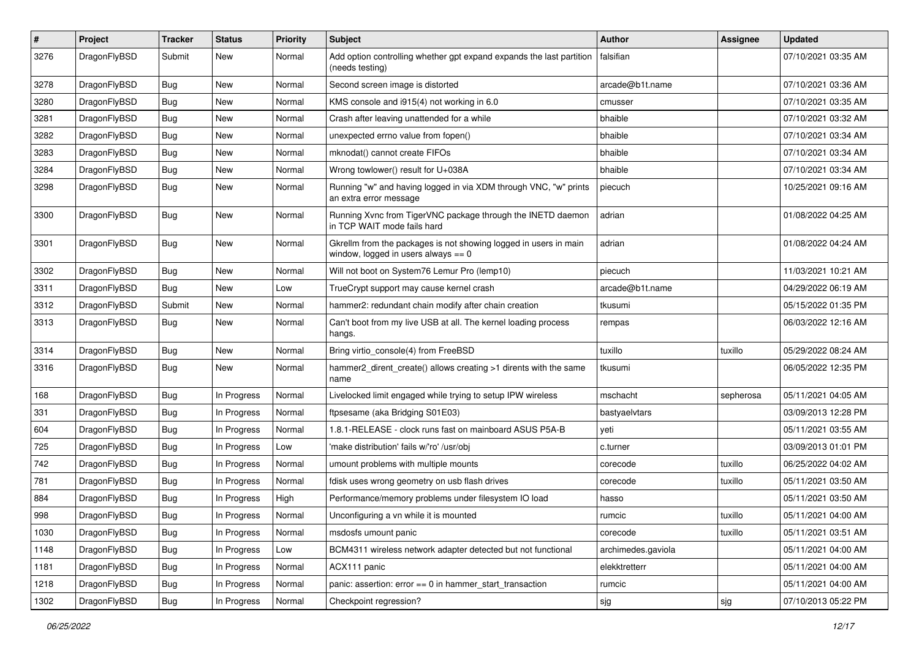| $\sharp$ | Project      | <b>Tracker</b> | <b>Status</b> | <b>Priority</b> | Subject                                                                                                   | <b>Author</b>      | Assignee  | <b>Updated</b>      |
|----------|--------------|----------------|---------------|-----------------|-----------------------------------------------------------------------------------------------------------|--------------------|-----------|---------------------|
| 3276     | DragonFlyBSD | Submit         | <b>New</b>    | Normal          | Add option controlling whether gpt expand expands the last partition<br>(needs testing)                   | falsifian          |           | 07/10/2021 03:35 AM |
| 3278     | DragonFlyBSD | Bug            | <b>New</b>    | Normal          | Second screen image is distorted                                                                          | arcade@b1t.name    |           | 07/10/2021 03:36 AM |
| 3280     | DragonFlyBSD | <b>Bug</b>     | New           | Normal          | KMS console and i915(4) not working in 6.0                                                                | cmusser            |           | 07/10/2021 03:35 AM |
| 3281     | DragonFlyBSD | Bug            | <b>New</b>    | Normal          | Crash after leaving unattended for a while                                                                | bhaible            |           | 07/10/2021 03:32 AM |
| 3282     | DragonFlyBSD | <b>Bug</b>     | <b>New</b>    | Normal          | unexpected errno value from fopen()                                                                       | bhaible            |           | 07/10/2021 03:34 AM |
| 3283     | DragonFlyBSD | <b>Bug</b>     | <b>New</b>    | Normal          | mknodat() cannot create FIFOs                                                                             | bhaible            |           | 07/10/2021 03:34 AM |
| 3284     | DragonFlyBSD | <b>Bug</b>     | <b>New</b>    | Normal          | Wrong towlower() result for U+038A                                                                        | bhaible            |           | 07/10/2021 03:34 AM |
| 3298     | DragonFlyBSD | <b>Bug</b>     | New           | Normal          | Running "w" and having logged in via XDM through VNC, "w" prints<br>an extra error message                | piecuch            |           | 10/25/2021 09:16 AM |
| 3300     | DragonFlyBSD | Bug            | <b>New</b>    | Normal          | Running Xvnc from TigerVNC package through the INETD daemon<br>in TCP WAIT mode fails hard                | adrian             |           | 01/08/2022 04:25 AM |
| 3301     | DragonFlyBSD | <b>Bug</b>     | <b>New</b>    | Normal          | Gkrellm from the packages is not showing logged in users in main<br>window, logged in users always $== 0$ | adrian             |           | 01/08/2022 04:24 AM |
| 3302     | DragonFlyBSD | Bug            | <b>New</b>    | Normal          | Will not boot on System76 Lemur Pro (lemp10)                                                              | piecuch            |           | 11/03/2021 10:21 AM |
| 3311     | DragonFlyBSD | <b>Bug</b>     | New           | Low             | TrueCrypt support may cause kernel crash                                                                  | arcade@b1t.name    |           | 04/29/2022 06:19 AM |
| 3312     | DragonFlyBSD | Submit         | <b>New</b>    | Normal          | hammer2: redundant chain modify after chain creation                                                      | tkusumi            |           | 05/15/2022 01:35 PM |
| 3313     | DragonFlyBSD | <b>Bug</b>     | New           | Normal          | Can't boot from my live USB at all. The kernel loading process<br>hangs.                                  | rempas             |           | 06/03/2022 12:16 AM |
| 3314     | DragonFlyBSD | <b>Bug</b>     | <b>New</b>    | Normal          | Bring virtio_console(4) from FreeBSD                                                                      | tuxillo            | tuxillo   | 05/29/2022 08:24 AM |
| 3316     | DragonFlyBSD | Bug            | <b>New</b>    | Normal          | hammer2_dirent_create() allows creating >1 dirents with the same<br>name                                  | tkusumi            |           | 06/05/2022 12:35 PM |
| 168      | DragonFlyBSD | Bug            | In Progress   | Normal          | Livelocked limit engaged while trying to setup IPW wireless                                               | mschacht           | sepherosa | 05/11/2021 04:05 AM |
| 331      | DragonFlyBSD | <b>Bug</b>     | In Progress   | Normal          | ftpsesame (aka Bridging S01E03)                                                                           | bastyaelvtars      |           | 03/09/2013 12:28 PM |
| 604      | DragonFlyBSD | <b>Bug</b>     | In Progress   | Normal          | 1.8.1-RELEASE - clock runs fast on mainboard ASUS P5A-B                                                   | yeti               |           | 05/11/2021 03:55 AM |
| 725      | DragonFlyBSD | Bug            | In Progress   | Low             | 'make distribution' fails w/'ro' /usr/obj                                                                 | c.turner           |           | 03/09/2013 01:01 PM |
| 742      | DragonFlyBSD | <b>Bug</b>     | In Progress   | Normal          | umount problems with multiple mounts                                                                      | corecode           | tuxillo   | 06/25/2022 04:02 AM |
| 781      | DragonFlyBSD | <b>Bug</b>     | In Progress   | Normal          | fdisk uses wrong geometry on usb flash drives                                                             | corecode           | tuxillo   | 05/11/2021 03:50 AM |
| 884      | DragonFlyBSD | Bug            | In Progress   | High            | Performance/memory problems under filesystem IO load                                                      | hasso              |           | 05/11/2021 03:50 AM |
| 998      | DragonFlyBSD | Bug            | In Progress   | Normal          | Unconfiguring a vn while it is mounted                                                                    | rumcic             | tuxillo   | 05/11/2021 04:00 AM |
| 1030     | DragonFlyBSD | Bug            | In Progress   | Normal          | msdosfs umount panic                                                                                      | corecode           | tuxillo   | 05/11/2021 03:51 AM |
| 1148     | DragonFlyBSD | Bug            | In Progress   | Low             | BCM4311 wireless network adapter detected but not functional                                              | archimedes.gaviola |           | 05/11/2021 04:00 AM |
| 1181     | DragonFlyBSD | <b>Bug</b>     | In Progress   | Normal          | ACX111 panic                                                                                              | elekktretterr      |           | 05/11/2021 04:00 AM |
| 1218     | DragonFlyBSD | Bug            | In Progress   | Normal          | panic: assertion: error == 0 in hammer_start_transaction                                                  | rumcic             |           | 05/11/2021 04:00 AM |
| 1302     | DragonFlyBSD | <b>Bug</b>     | In Progress   | Normal          | Checkpoint regression?                                                                                    | sjg                | sjg       | 07/10/2013 05:22 PM |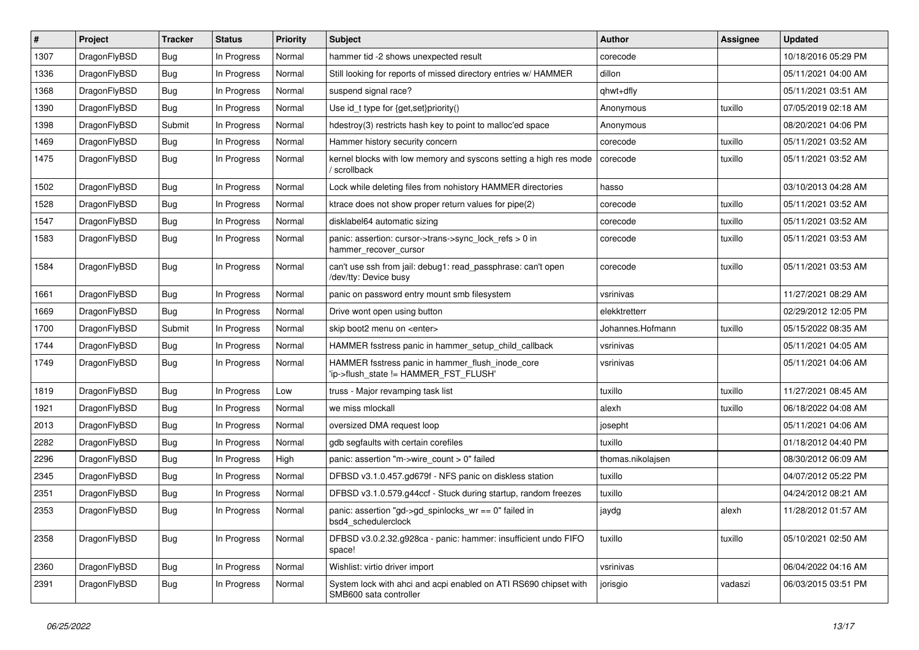| $\vert$ # | Project      | <b>Tracker</b> | <b>Status</b> | <b>Priority</b> | <b>Subject</b>                                                                             | <b>Author</b>     | Assignee | <b>Updated</b>      |
|-----------|--------------|----------------|---------------|-----------------|--------------------------------------------------------------------------------------------|-------------------|----------|---------------------|
| 1307      | DragonFlyBSD | <b>Bug</b>     | In Progress   | Normal          | hammer tid -2 shows unexpected result                                                      | corecode          |          | 10/18/2016 05:29 PM |
| 1336      | DragonFlyBSD | Bug            | In Progress   | Normal          | Still looking for reports of missed directory entries w/ HAMMER                            | dillon            |          | 05/11/2021 04:00 AM |
| 1368      | DragonFlyBSD | Bug            | In Progress   | Normal          | suspend signal race?                                                                       | qhwt+dfly         |          | 05/11/2021 03:51 AM |
| 1390      | DragonFlyBSD | <b>Bug</b>     | In Progress   | Normal          | Use id_t type for {get,set}priority()                                                      | Anonymous         | tuxillo  | 07/05/2019 02:18 AM |
| 1398      | DragonFlyBSD | Submit         | In Progress   | Normal          | hdestroy(3) restricts hash key to point to malloc'ed space                                 | Anonymous         |          | 08/20/2021 04:06 PM |
| 1469      | DragonFlyBSD | <b>Bug</b>     | In Progress   | Normal          | Hammer history security concern                                                            | corecode          | tuxillo  | 05/11/2021 03:52 AM |
| 1475      | DragonFlyBSD | Bug            | In Progress   | Normal          | kernel blocks with low memory and syscons setting a high res mode<br>/ scrollback          | corecode          | tuxillo  | 05/11/2021 03:52 AM |
| 1502      | DragonFlyBSD | <b>Bug</b>     | In Progress   | Normal          | Lock while deleting files from nohistory HAMMER directories                                | hasso             |          | 03/10/2013 04:28 AM |
| 1528      | DragonFlyBSD | <b>Bug</b>     | In Progress   | Normal          | ktrace does not show proper return values for pipe(2)                                      | corecode          | tuxillo  | 05/11/2021 03:52 AM |
| 1547      | DragonFlyBSD | Bug            | In Progress   | Normal          | disklabel64 automatic sizing                                                               | corecode          | tuxillo  | 05/11/2021 03:52 AM |
| 1583      | DragonFlyBSD | Bug            | In Progress   | Normal          | panic: assertion: cursor->trans->sync_lock_refs > 0 in<br>hammer_recover_cursor            | corecode          | tuxillo  | 05/11/2021 03:53 AM |
| 1584      | DragonFlyBSD | <b>Bug</b>     | In Progress   | Normal          | can't use ssh from jail: debug1: read passphrase: can't open<br>/dev/tty: Device busy      | corecode          | tuxillo  | 05/11/2021 03:53 AM |
| 1661      | DragonFlyBSD | <b>Bug</b>     | In Progress   | Normal          | panic on password entry mount smb filesystem                                               | vsrinivas         |          | 11/27/2021 08:29 AM |
| 1669      | DragonFlyBSD | <b>Bug</b>     | In Progress   | Normal          | Drive wont open using button                                                               | elekktretterr     |          | 02/29/2012 12:05 PM |
| 1700      | DragonFlyBSD | Submit         | In Progress   | Normal          | skip boot2 menu on <enter></enter>                                                         | Johannes.Hofmann  | tuxillo  | 05/15/2022 08:35 AM |
| 1744      | DragonFlyBSD | <b>Bug</b>     | In Progress   | Normal          | HAMMER fsstress panic in hammer setup child callback                                       | vsrinivas         |          | 05/11/2021 04:05 AM |
| 1749      | DragonFlyBSD | Bug            | In Progress   | Normal          | HAMMER fsstress panic in hammer_flush_inode_core<br>'ip->flush_state != HAMMER_FST_FLUSH'  | vsrinivas         |          | 05/11/2021 04:06 AM |
| 1819      | DragonFlyBSD | <b>Bug</b>     | In Progress   | Low             | truss - Major revamping task list                                                          | tuxillo           | tuxillo  | 11/27/2021 08:45 AM |
| 1921      | DragonFlyBSD | <b>Bug</b>     | In Progress   | Normal          | we miss mlockall                                                                           | alexh             | tuxillo  | 06/18/2022 04:08 AM |
| 2013      | DragonFlyBSD | <b>Bug</b>     | In Progress   | Normal          | oversized DMA request loop                                                                 | josepht           |          | 05/11/2021 04:06 AM |
| 2282      | DragonFlyBSD | <b>Bug</b>     | In Progress   | Normal          | gdb segfaults with certain corefiles                                                       | tuxillo           |          | 01/18/2012 04:40 PM |
| 2296      | DragonFlyBSD | <b>Bug</b>     | In Progress   | High            | panic: assertion "m->wire count > 0" failed                                                | thomas.nikolajsen |          | 08/30/2012 06:09 AM |
| 2345      | DragonFlyBSD | Bug            | In Progress   | Normal          | DFBSD v3.1.0.457.gd679f - NFS panic on diskless station                                    | tuxillo           |          | 04/07/2012 05:22 PM |
| 2351      | DragonFlyBSD | <b>Bug</b>     | In Progress   | Normal          | DFBSD v3.1.0.579.g44ccf - Stuck during startup, random freezes                             | tuxillo           |          | 04/24/2012 08:21 AM |
| 2353      | DragonFlyBSD | <b>Bug</b>     | In Progress   | Normal          | panic: assertion "gd->gd_spinlocks_wr == 0" failed in<br>bsd4_schedulerclock               | jaydg             | alexh    | 11/28/2012 01:57 AM |
| 2358      | DragonFlyBSD | <b>Bug</b>     | In Progress   | Normal          | DFBSD v3.0.2.32.g928ca - panic: hammer: insufficient undo FIFO<br>space!                   | tuxillo           | tuxillo  | 05/10/2021 02:50 AM |
| 2360      | DragonFlyBSD | <b>Bug</b>     | In Progress   | Normal          | Wishlist: virtio driver import                                                             | vsrinivas         |          | 06/04/2022 04:16 AM |
| 2391      | DragonFlyBSD | Bug            | In Progress   | Normal          | System lock with ahci and acpi enabled on ATI RS690 chipset with<br>SMB600 sata controller | jorisgio          | vadaszi  | 06/03/2015 03:51 PM |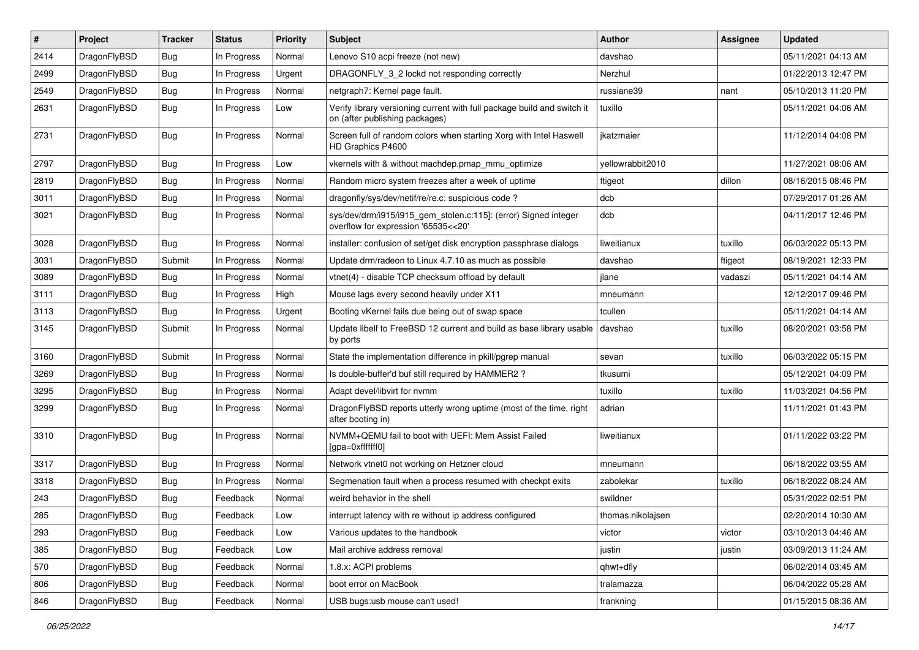| #    | Project      | <b>Tracker</b> | <b>Status</b> | <b>Priority</b> | Subject                                                                                                   | Author            | Assignee | <b>Updated</b>      |
|------|--------------|----------------|---------------|-----------------|-----------------------------------------------------------------------------------------------------------|-------------------|----------|---------------------|
| 2414 | DragonFlyBSD | Bug            | In Progress   | Normal          | Lenovo S10 acpi freeze (not new)                                                                          | davshao           |          | 05/11/2021 04:13 AM |
| 2499 | DragonFlyBSD | Bug            | In Progress   | Urgent          | DRAGONFLY_3_2 lockd not responding correctly                                                              | Nerzhul           |          | 01/22/2013 12:47 PM |
| 2549 | DragonFlyBSD | Bug            | In Progress   | Normal          | netgraph7: Kernel page fault.                                                                             | russiane39        | nant     | 05/10/2013 11:20 PM |
| 2631 | DragonFlyBSD | Bug            | In Progress   | Low             | Verify library versioning current with full package build and switch it<br>on (after publishing packages) | tuxillo           |          | 05/11/2021 04:06 AM |
| 2731 | DragonFlyBSD | Bug            | In Progress   | Normal          | Screen full of random colors when starting Xorg with Intel Haswell<br>HD Graphics P4600                   | jkatzmaier        |          | 11/12/2014 04:08 PM |
| 2797 | DragonFlyBSD | Bug            | In Progress   | Low             | vkernels with & without machdep.pmap mmu optimize                                                         | yellowrabbit2010  |          | 11/27/2021 08:06 AM |
| 2819 | DragonFlyBSD | Bug            | In Progress   | Normal          | Random micro system freezes after a week of uptime                                                        | ftigeot           | dillon   | 08/16/2015 08:46 PM |
| 3011 | DragonFlyBSD | Bug            | In Progress   | Normal          | dragonfly/sys/dev/netif/re/re.c: suspicious code?                                                         | dcb               |          | 07/29/2017 01:26 AM |
| 3021 | DragonFlyBSD | <b>Bug</b>     | In Progress   | Normal          | sys/dev/drm/i915/i915_gem_stolen.c:115]: (error) Signed integer<br>overflow for expression '65535<<20'    | dcb               |          | 04/11/2017 12:46 PM |
| 3028 | DragonFlyBSD | Bug            | In Progress   | Normal          | installer: confusion of set/get disk encryption passphrase dialogs                                        | liweitianux       | tuxillo  | 06/03/2022 05:13 PM |
| 3031 | DragonFlyBSD | Submit         | In Progress   | Normal          | Update drm/radeon to Linux 4.7.10 as much as possible                                                     | davshao           | ftigeot  | 08/19/2021 12:33 PM |
| 3089 | DragonFlyBSD | <b>Bug</b>     | In Progress   | Normal          | vtnet(4) - disable TCP checksum offload by default                                                        | jlane             | vadaszi  | 05/11/2021 04:14 AM |
| 3111 | DragonFlyBSD | Bug            | In Progress   | High            | Mouse lags every second heavily under X11                                                                 | mneumann          |          | 12/12/2017 09:46 PM |
| 3113 | DragonFlyBSD | <b>Bug</b>     | In Progress   | Urgent          | Booting vKernel fails due being out of swap space                                                         | tcullen           |          | 05/11/2021 04:14 AM |
| 3145 | DragonFlyBSD | Submit         | In Progress   | Normal          | Update libelf to FreeBSD 12 current and build as base library usable<br>by ports                          | davshao           | tuxillo  | 08/20/2021 03:58 PM |
| 3160 | DragonFlyBSD | Submit         | In Progress   | Normal          | State the implementation difference in pkill/pgrep manual                                                 | sevan             | tuxillo  | 06/03/2022 05:15 PM |
| 3269 | DragonFlyBSD | <b>Bug</b>     | In Progress   | Normal          | Is double-buffer'd buf still required by HAMMER2 ?                                                        | tkusumi           |          | 05/12/2021 04:09 PM |
| 3295 | DragonFlyBSD | <b>Bug</b>     | In Progress   | Normal          | Adapt devel/libvirt for nvmm                                                                              | tuxillo           | tuxillo  | 11/03/2021 04:56 PM |
| 3299 | DragonFlyBSD | <b>Bug</b>     | In Progress   | Normal          | DragonFlyBSD reports utterly wrong uptime (most of the time, right<br>after booting in)                   | adrian            |          | 11/11/2021 01:43 PM |
| 3310 | DragonFlyBSD | Bug            | In Progress   | Normal          | NVMM+QEMU fail to boot with UEFI: Mem Assist Failed<br>[gpa=0xfffffff0]                                   | liweitianux       |          | 01/11/2022 03:22 PM |
| 3317 | DragonFlyBSD | <b>Bug</b>     | In Progress   | Normal          | Network vtnet0 not working on Hetzner cloud                                                               | mneumann          |          | 06/18/2022 03:55 AM |
| 3318 | DragonFlyBSD | <b>Bug</b>     | In Progress   | Normal          | Segmenation fault when a process resumed with checkpt exits                                               | zabolekar         | tuxillo  | 06/18/2022 08:24 AM |
| 243  | DragonFlyBSD | <b>Bug</b>     | Feedback      | Normal          | weird behavior in the shell                                                                               | swildner          |          | 05/31/2022 02:51 PM |
| 285  | DragonFlyBSD | Bug            | Feedback      | Low             | interrupt latency with re without ip address configured                                                   | thomas.nikolajsen |          | 02/20/2014 10:30 AM |
| 293  | DragonFlyBSD | <b>Bug</b>     | Feedback      | Low             | Various updates to the handbook                                                                           | victor            | victor   | 03/10/2013 04:46 AM |
| 385  | DragonFlyBSD | <b>Bug</b>     | Feedback      | Low             | Mail archive address removal                                                                              | justin            | justin   | 03/09/2013 11:24 AM |
| 570  | DragonFlyBSD | Bug            | Feedback      | Normal          | 1.8.x: ACPI problems                                                                                      | qhwt+dfly         |          | 06/02/2014 03:45 AM |
| 806  | DragonFlyBSD | <b>Bug</b>     | Feedback      | Normal          | boot error on MacBook                                                                                     | tralamazza        |          | 06/04/2022 05:28 AM |
| 846  | DragonFlyBSD | <b>Bug</b>     | Feedback      | Normal          | USB bugs:usb mouse can't used!                                                                            | frankning         |          | 01/15/2015 08:36 AM |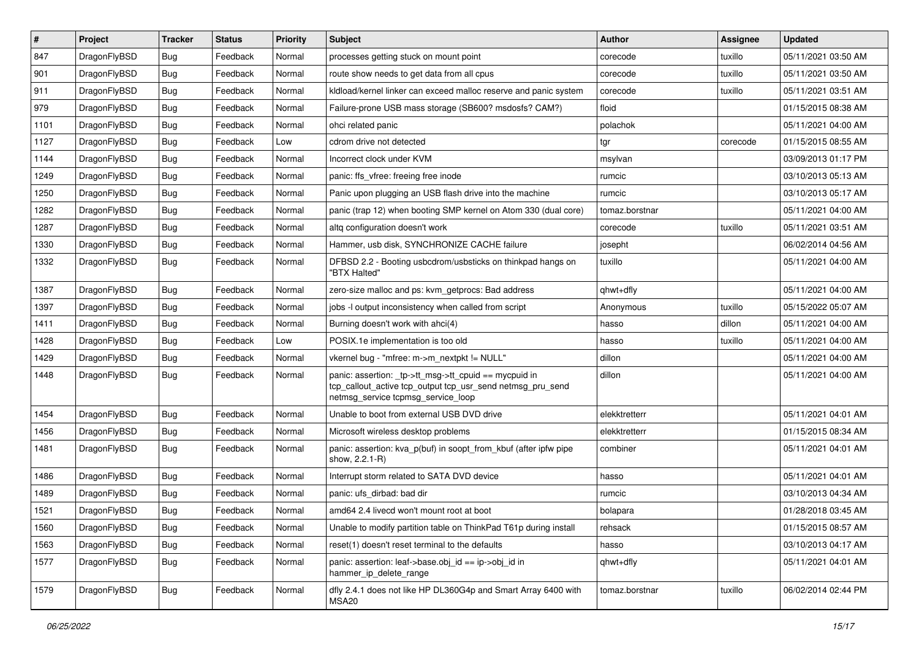| $\vert$ # | Project      | <b>Tracker</b> | <b>Status</b> | <b>Priority</b> | <b>Subject</b>                                                                                                                                            | <b>Author</b>  | <b>Assignee</b> | <b>Updated</b>      |
|-----------|--------------|----------------|---------------|-----------------|-----------------------------------------------------------------------------------------------------------------------------------------------------------|----------------|-----------------|---------------------|
| 847       | DragonFlyBSD | <b>Bug</b>     | Feedback      | Normal          | processes getting stuck on mount point                                                                                                                    | corecode       | tuxillo         | 05/11/2021 03:50 AM |
| 901       | DragonFlyBSD | <b>Bug</b>     | Feedback      | Normal          | route show needs to get data from all cpus                                                                                                                | corecode       | tuxillo         | 05/11/2021 03:50 AM |
| 911       | DragonFlyBSD | <b>Bug</b>     | Feedback      | Normal          | kldload/kernel linker can exceed malloc reserve and panic system                                                                                          | corecode       | tuxillo         | 05/11/2021 03:51 AM |
| 979       | DragonFlyBSD | <b>Bug</b>     | Feedback      | Normal          | Failure-prone USB mass storage (SB600? msdosfs? CAM?)                                                                                                     | floid          |                 | 01/15/2015 08:38 AM |
| 1101      | DragonFlyBSD | <b>Bug</b>     | Feedback      | Normal          | ohci related panic                                                                                                                                        | polachok       |                 | 05/11/2021 04:00 AM |
| 1127      | DragonFlyBSD | <b>Bug</b>     | Feedback      | Low             | cdrom drive not detected                                                                                                                                  | tgr            | corecode        | 01/15/2015 08:55 AM |
| 1144      | DragonFlyBSD | <b>Bug</b>     | Feedback      | Normal          | Incorrect clock under KVM                                                                                                                                 | msylvan        |                 | 03/09/2013 01:17 PM |
| 1249      | DragonFlyBSD | Bug            | Feedback      | Normal          | panic: ffs vfree: freeing free inode                                                                                                                      | rumcic         |                 | 03/10/2013 05:13 AM |
| 1250      | DragonFlyBSD | <b>Bug</b>     | Feedback      | Normal          | Panic upon plugging an USB flash drive into the machine                                                                                                   | rumcic         |                 | 03/10/2013 05:17 AM |
| 1282      | DragonFlyBSD | <b>Bug</b>     | Feedback      | Normal          | panic (trap 12) when booting SMP kernel on Atom 330 (dual core)                                                                                           | tomaz.borstnar |                 | 05/11/2021 04:00 AM |
| 1287      | DragonFlyBSD | <b>Bug</b>     | Feedback      | Normal          | altg configuration doesn't work                                                                                                                           | corecode       | tuxillo         | 05/11/2021 03:51 AM |
| 1330      | DragonFlyBSD | Bug            | Feedback      | Normal          | Hammer, usb disk, SYNCHRONIZE CACHE failure                                                                                                               | josepht        |                 | 06/02/2014 04:56 AM |
| 1332      | DragonFlyBSD | Bug            | Feedback      | Normal          | DFBSD 2.2 - Booting usbcdrom/usbsticks on thinkpad hangs on<br>"BTX Halted"                                                                               | tuxillo        |                 | 05/11/2021 04:00 AM |
| 1387      | DragonFlyBSD | <b>Bug</b>     | Feedback      | Normal          | zero-size malloc and ps: kvm_getprocs: Bad address                                                                                                        | qhwt+dfly      |                 | 05/11/2021 04:00 AM |
| 1397      | DragonFlyBSD | <b>Bug</b>     | Feedback      | Normal          | jobs -I output inconsistency when called from script                                                                                                      | Anonymous      | tuxillo         | 05/15/2022 05:07 AM |
| 1411      | DragonFlyBSD | <b>Bug</b>     | Feedback      | Normal          | Burning doesn't work with ahci(4)                                                                                                                         | hasso          | dillon          | 05/11/2021 04:00 AM |
| 1428      | DragonFlyBSD | <b>Bug</b>     | Feedback      | Low             | POSIX.1e implementation is too old                                                                                                                        | hasso          | tuxillo         | 05/11/2021 04:00 AM |
| 1429      | DragonFlyBSD | <b>Bug</b>     | Feedback      | Normal          | vkernel bug - "mfree: m->m_nextpkt != NULL"                                                                                                               | dillon         |                 | 05/11/2021 04:00 AM |
| 1448      | DragonFlyBSD | <b>Bug</b>     | Feedback      | Normal          | panic: assertion: _tp->tt_msg->tt_cpuid == mycpuid in<br>tcp_callout_active tcp_output tcp_usr_send netmsg_pru_send<br>netmsg_service tcpmsg_service_loop | dillon         |                 | 05/11/2021 04:00 AM |
| 1454      | DragonFlyBSD | <b>Bug</b>     | Feedback      | Normal          | Unable to boot from external USB DVD drive                                                                                                                | elekktretterr  |                 | 05/11/2021 04:01 AM |
| 1456      | DragonFlyBSD | <b>Bug</b>     | Feedback      | Normal          | Microsoft wireless desktop problems                                                                                                                       | elekktretterr  |                 | 01/15/2015 08:34 AM |
| 1481      | DragonFlyBSD | <b>Bug</b>     | Feedback      | Normal          | panic: assertion: kva_p(buf) in soopt_from_kbuf (after ipfw pipe<br>show, 2.2.1-R)                                                                        | combiner       |                 | 05/11/2021 04:01 AM |
| 1486      | DragonFlyBSD | <b>Bug</b>     | Feedback      | Normal          | Interrupt storm related to SATA DVD device                                                                                                                | hasso          |                 | 05/11/2021 04:01 AM |
| 1489      | DragonFlyBSD | Bug            | Feedback      | Normal          | panic: ufs dirbad: bad dir                                                                                                                                | rumcic         |                 | 03/10/2013 04:34 AM |
| 1521      | DragonFlyBSD | <b>Bug</b>     | Feedback      | Normal          | amd64 2.4 livecd won't mount root at boot                                                                                                                 | bolapara       |                 | 01/28/2018 03:45 AM |
| 1560      | DragonFlyBSD | <b>Bug</b>     | Feedback      | Normal          | Unable to modify partition table on ThinkPad T61p during install                                                                                          | rehsack        |                 | 01/15/2015 08:57 AM |
| 1563      | DragonFlyBSD | <b>Bug</b>     | Feedback      | Normal          | reset(1) doesn't reset terminal to the defaults                                                                                                           | hasso          |                 | 03/10/2013 04:17 AM |
| 1577      | DragonFlyBSD | <b>Bug</b>     | Feedback      | Normal          | panic: assertion: leaf->base.obj_id == ip->obj_id in<br>hammer_ip_delete_range                                                                            | qhwt+dfly      |                 | 05/11/2021 04:01 AM |
| 1579      | DragonFlyBSD | <b>Bug</b>     | Feedback      | Normal          | dfly 2.4.1 does not like HP DL360G4p and Smart Array 6400 with<br>MSA20                                                                                   | tomaz.borstnar | tuxillo         | 06/02/2014 02:44 PM |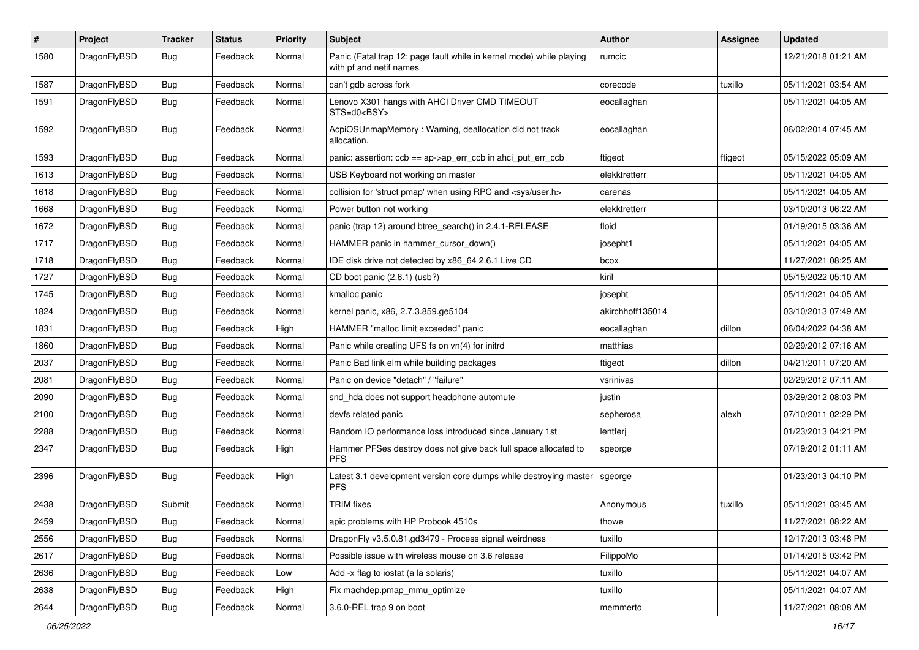| $\pmb{\#}$ | Project      | <b>Tracker</b> | <b>Status</b> | <b>Priority</b> | Subject                                                                                         | Author           | Assignee | <b>Updated</b>      |
|------------|--------------|----------------|---------------|-----------------|-------------------------------------------------------------------------------------------------|------------------|----------|---------------------|
| 1580       | DragonFlyBSD | Bug            | Feedback      | Normal          | Panic (Fatal trap 12: page fault while in kernel mode) while playing<br>with pf and netif names | rumcic           |          | 12/21/2018 01:21 AM |
| 1587       | DragonFlyBSD | <b>Bug</b>     | Feedback      | Normal          | can't gdb across fork                                                                           | corecode         | tuxillo  | 05/11/2021 03:54 AM |
| 1591       | DragonFlyBSD | Bug            | Feedback      | Normal          | Lenovo X301 hangs with AHCI Driver CMD TIMEOUT<br>STS=d0 <bsy></bsy>                            | eocallaghan      |          | 05/11/2021 04:05 AM |
| 1592       | DragonFlyBSD | <b>Bug</b>     | Feedback      | Normal          | AcpiOSUnmapMemory: Warning, deallocation did not track<br>allocation.                           | eocallaghan      |          | 06/02/2014 07:45 AM |
| 1593       | DragonFlyBSD | <b>Bug</b>     | Feedback      | Normal          | panic: assertion: ccb == ap->ap_err_ccb in ahci_put_err_ccb                                     | ftigeot          | ftigeot  | 05/15/2022 05:09 AM |
| 1613       | DragonFlyBSD | Bug            | Feedback      | Normal          | USB Keyboard not working on master                                                              | elekktretterr    |          | 05/11/2021 04:05 AM |
| 1618       | DragonFlyBSD | Bug            | Feedback      | Normal          | collision for 'struct pmap' when using RPC and <sys user.h=""></sys>                            | carenas          |          | 05/11/2021 04:05 AM |
| 1668       | DragonFlyBSD | Bug            | Feedback      | Normal          | Power button not working                                                                        | elekktretterr    |          | 03/10/2013 06:22 AM |
| 1672       | DragonFlyBSD | Bug            | Feedback      | Normal          | panic (trap 12) around btree_search() in 2.4.1-RELEASE                                          | floid            |          | 01/19/2015 03:36 AM |
| 1717       | DragonFlyBSD | Bug            | Feedback      | Normal          | HAMMER panic in hammer_cursor_down()                                                            | josepht1         |          | 05/11/2021 04:05 AM |
| 1718       | DragonFlyBSD | Bug            | Feedback      | Normal          | IDE disk drive not detected by x86_64 2.6.1 Live CD                                             | bcox             |          | 11/27/2021 08:25 AM |
| 1727       | DragonFlyBSD | Bug            | Feedback      | Normal          | CD boot panic (2.6.1) (usb?)                                                                    | kiril            |          | 05/15/2022 05:10 AM |
| 1745       | DragonFlyBSD | Bug            | Feedback      | Normal          | kmalloc panic                                                                                   | josepht          |          | 05/11/2021 04:05 AM |
| 1824       | DragonFlyBSD | Bug            | Feedback      | Normal          | kernel panic, x86, 2.7.3.859.ge5104                                                             | akirchhoff135014 |          | 03/10/2013 07:49 AM |
| 1831       | DragonFlyBSD | Bug            | Feedback      | High            | HAMMER "malloc limit exceeded" panic                                                            | eocallaghan      | dillon   | 06/04/2022 04:38 AM |
| 1860       | DragonFlyBSD | Bug            | Feedback      | Normal          | Panic while creating UFS fs on vn(4) for initrd                                                 | matthias         |          | 02/29/2012 07:16 AM |
| 2037       | DragonFlyBSD | Bug            | Feedback      | Normal          | Panic Bad link elm while building packages                                                      | ftigeot          | dillon   | 04/21/2011 07:20 AM |
| 2081       | DragonFlyBSD | <b>Bug</b>     | Feedback      | Normal          | Panic on device "detach" / "failure"                                                            | vsrinivas        |          | 02/29/2012 07:11 AM |
| 2090       | DragonFlyBSD | Bug            | Feedback      | Normal          | snd_hda does not support headphone automute                                                     | justin           |          | 03/29/2012 08:03 PM |
| 2100       | DragonFlyBSD | Bug            | Feedback      | Normal          | devfs related panic                                                                             | sepherosa        | alexh    | 07/10/2011 02:29 PM |
| 2288       | DragonFlyBSD | Bug            | Feedback      | Normal          | Random IO performance loss introduced since January 1st                                         | lentferj         |          | 01/23/2013 04:21 PM |
| 2347       | DragonFlyBSD | Bug            | Feedback      | High            | Hammer PFSes destroy does not give back full space allocated to<br><b>PFS</b>                   | sgeorge          |          | 07/19/2012 01:11 AM |
| 2396       | DragonFlyBSD | Bug            | Feedback      | High            | Latest 3.1 development version core dumps while destroying master<br><b>PFS</b>                 | sgeorge          |          | 01/23/2013 04:10 PM |
| 2438       | DragonFlyBSD | Submit         | Feedback      | Normal          | <b>TRIM</b> fixes                                                                               | Anonymous        | tuxillo  | 05/11/2021 03:45 AM |
| 2459       | DragonFlyBSD | <b>Bug</b>     | Feedback      | Normal          | apic problems with HP Probook 4510s                                                             | thowe            |          | 11/27/2021 08:22 AM |
| 2556       | DragonFlyBSD | <b>Bug</b>     | Feedback      | Normal          | DragonFly v3.5.0.81.gd3479 - Process signal weirdness                                           | tuxillo          |          | 12/17/2013 03:48 PM |
| 2617       | DragonFlyBSD | <b>Bug</b>     | Feedback      | Normal          | Possible issue with wireless mouse on 3.6 release                                               | FilippoMo        |          | 01/14/2015 03:42 PM |
| 2636       | DragonFlyBSD | Bug            | Feedback      | Low             | Add -x flag to iostat (a la solaris)                                                            | tuxillo          |          | 05/11/2021 04:07 AM |
| 2638       | DragonFlyBSD | <b>Bug</b>     | Feedback      | High            | Fix machdep.pmap_mmu_optimize                                                                   | tuxillo          |          | 05/11/2021 04:07 AM |
| 2644       | DragonFlyBSD | Bug            | Feedback      | Normal          | 3.6.0-REL trap 9 on boot                                                                        | memmerto         |          | 11/27/2021 08:08 AM |